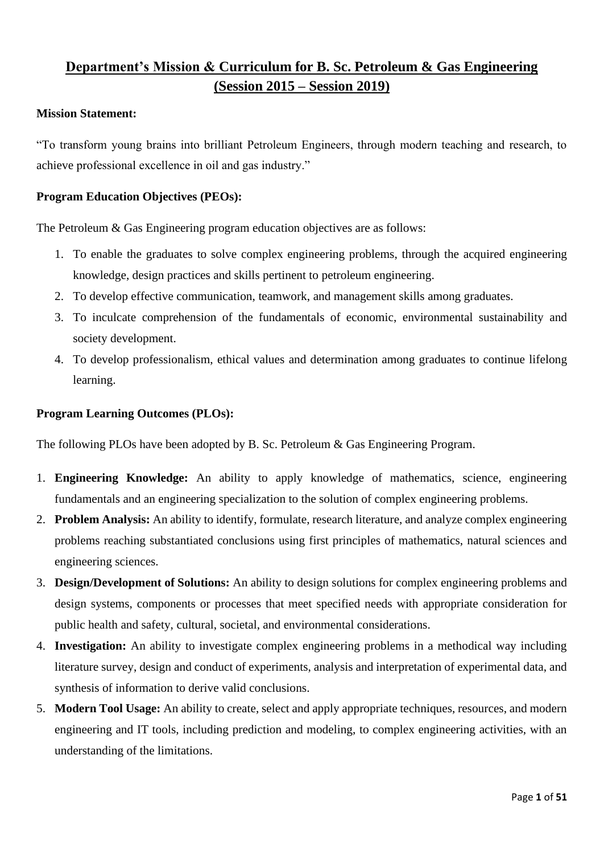# **Department's Mission & Curriculum for B. Sc. Petroleum & Gas Engineering (Session 2015 – Session 2019)**

#### **Mission Statement:**

"To transform young brains into brilliant Petroleum Engineers, through modern teaching and research, to achieve professional excellence in oil and gas industry."

### **Program Education Objectives (PEOs):**

The Petroleum & Gas Engineering program education objectives are as follows:

- 1. To enable the graduates to solve complex engineering problems, through the acquired engineering knowledge, design practices and skills pertinent to petroleum engineering.
- 2. To develop effective communication, teamwork, and management skills among graduates.
- 3. To inculcate comprehension of the fundamentals of economic, environmental sustainability and society development.
- 4. To develop professionalism, ethical values and determination among graduates to continue lifelong learning.

#### **Program Learning Outcomes (PLOs):**

The following PLOs have been adopted by B. Sc. Petroleum & Gas Engineering Program.

- 1. **Engineering Knowledge:** An ability to apply knowledge of mathematics, science, engineering fundamentals and an engineering specialization to the solution of complex engineering problems.
- 2. **Problem Analysis:** An ability to identify, formulate, research literature, and analyze complex engineering problems reaching substantiated conclusions using first principles of mathematics, natural sciences and engineering sciences.
- 3. **Design/Development of Solutions:** An ability to design solutions for complex engineering problems and design systems, components or processes that meet specified needs with appropriate consideration for public health and safety, cultural, societal, and environmental considerations.
- 4. **Investigation:** An ability to investigate complex engineering problems in a methodical way including literature survey, design and conduct of experiments, analysis and interpretation of experimental data, and synthesis of information to derive valid conclusions.
- 5. **Modern Tool Usage:** An ability to create, select and apply appropriate techniques, resources, and modern engineering and IT tools, including prediction and modeling, to complex engineering activities, with an understanding of the limitations.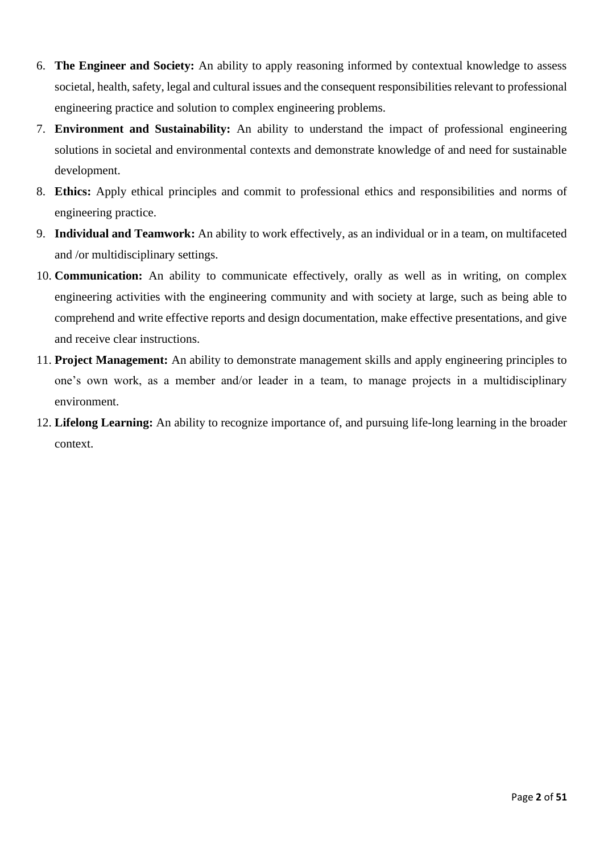- 6. **The Engineer and Society:** An ability to apply reasoning informed by contextual knowledge to assess societal, health, safety, legal and cultural issues and the consequent responsibilities relevant to professional engineering practice and solution to complex engineering problems.
- 7. **Environment and Sustainability:** An ability to understand the impact of professional engineering solutions in societal and environmental contexts and demonstrate knowledge of and need for sustainable development.
- 8. **Ethics:** Apply ethical principles and commit to professional ethics and responsibilities and norms of engineering practice.
- 9. **Individual and Teamwork:** An ability to work effectively, as an individual or in a team, on multifaceted and /or multidisciplinary settings.
- 10. **Communication:** An ability to communicate effectively, orally as well as in writing, on complex engineering activities with the engineering community and with society at large, such as being able to comprehend and write effective reports and design documentation, make effective presentations, and give and receive clear instructions.
- 11. **Project Management:** An ability to demonstrate management skills and apply engineering principles to one's own work, as a member and/or leader in a team, to manage projects in a multidisciplinary environment.
- 12. **Lifelong Learning:** An ability to recognize importance of, and pursuing life-long learning in the broader context.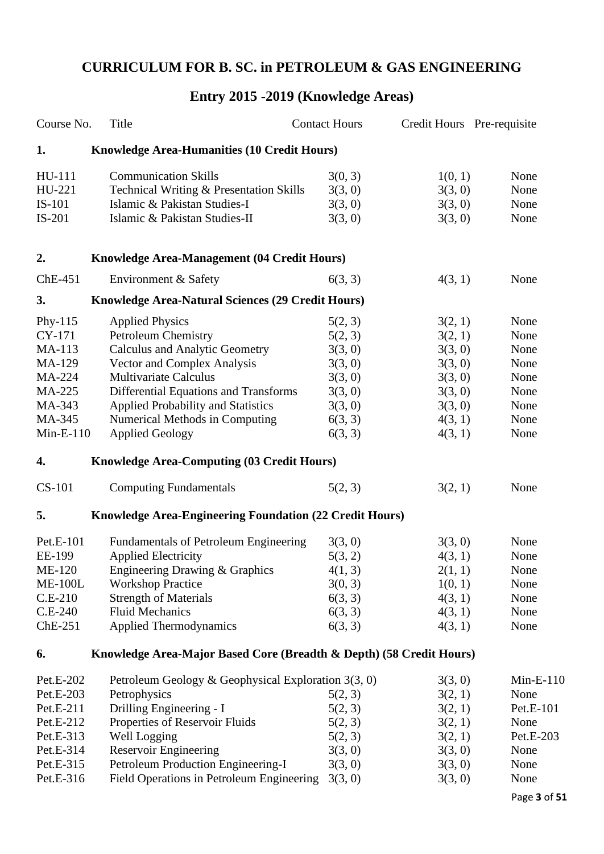# **CURRICULUM FOR B. SC. in PETROLEUM & GAS ENGINEERING**

# **Entry 2015 -2019 (Knowledge Areas)**

| Course No.     | Title                                                               | <b>Contact Hours</b> | Credit Hours Pre-requisite |             |
|----------------|---------------------------------------------------------------------|----------------------|----------------------------|-------------|
| 1.             | <b>Knowledge Area-Humanities (10 Credit Hours)</b>                  |                      |                            |             |
| HU-111         | <b>Communication Skills</b>                                         | 3(0, 3)              | 1(0, 1)                    | None        |
| HU-221         | Technical Writing & Presentation Skills                             | 3(3, 0)              | 3(3, 0)                    | None        |
| IS-101         | Islamic & Pakistan Studies-I                                        | 3(3, 0)              | 3(3, 0)                    | None        |
| $IS-201$       | Islamic & Pakistan Studies-II                                       | 3(3, 0)              | 3(3, 0)                    | None        |
| 2.             | Knowledge Area-Management (04 Credit Hours)                         |                      |                            |             |
| $ChE-451$      | Environment & Safety                                                | 6(3, 3)              | 4(3, 1)                    | None        |
| 3.             | Knowledge Area-Natural Sciences (29 Credit Hours)                   |                      |                            |             |
| Phy- $115$     | <b>Applied Physics</b>                                              | 5(2, 3)              | 3(2, 1)                    | None        |
| CY-171         | <b>Petroleum Chemistry</b>                                          | 5(2, 3)              | 3(2, 1)                    | None        |
| MA-113         | <b>Calculus and Analytic Geometry</b>                               | 3(3, 0)              | 3(3, 0)                    | None        |
| MA-129         | Vector and Complex Analysis                                         | 3(3, 0)              | 3(3, 0)                    | None        |
| MA-224         | <b>Multivariate Calculus</b>                                        | 3(3, 0)              | 3(3, 0)                    | None        |
| MA-225         | Differential Equations and Transforms                               | 3(3, 0)              | 3(3, 0)                    | None        |
| MA-343         | Applied Probability and Statistics                                  | 3(3, 0)              | 3(3, 0)                    | None        |
| MA-345         | Numerical Methods in Computing                                      | 6(3, 3)              | 4(3, 1)                    | None        |
| $Min-E-110$    | <b>Applied Geology</b>                                              | 6(3, 3)              | 4(3, 1)                    | None        |
| 4.             | <b>Knowledge Area-Computing (03 Credit Hours)</b>                   |                      |                            |             |
| <b>CS-101</b>  | <b>Computing Fundamentals</b>                                       | 5(2, 3)              | 3(2, 1)                    | None        |
| 5.             | <b>Knowledge Area-Engineering Foundation (22 Credit Hours)</b>      |                      |                            |             |
| Pet.E-101      | <b>Fundamentals of Petroleum Engineering</b>                        | 3(3, 0)              | 3(3, 0)                    | None        |
| EE-199         | <b>Applied Electricity</b>                                          | 5(3, 2)              | 4(3, 1)                    | None        |
| <b>ME-120</b>  | Engineering Drawing & Graphics                                      | 4(1, 3)              | 2(1, 1)                    | None        |
| <b>ME-100L</b> | <b>Workshop Practice</b>                                            | 3(0, 3)              | 1(0, 1)                    | None        |
| $C.E-210$      | <b>Strength of Materials</b>                                        | 6(3, 3)              | 4(3, 1)                    | None        |
| $C.E-240$      | <b>Fluid Mechanics</b>                                              | 6(3, 3)              | 4(3, 1)                    | None        |
| $ChE-251$      | <b>Applied Thermodynamics</b>                                       | 6(3, 3)              | 4(3, 1)                    | None        |
| 6.             | Knowledge Area-Major Based Core (Breadth & Depth) (58 Credit Hours) |                      |                            |             |
| Pet.E-202      | Petroleum Geology & Geophysical Exploration $3(3, 0)$               |                      | 3(3, 0)                    | $Min-E-110$ |
| Pet.E-203      | Petrophysics                                                        | 5(2, 3)              | 3(2, 1)                    | None        |
| Pet.E-211      | Drilling Engineering - I                                            | 5(2, 3)              | 3(2, 1)                    | Pet.E-101   |
| Pet.E-212      | Properties of Reservoir Fluids                                      | 5(2, 3)              | 3(2, 1)                    | None        |
| Pet.E-313      | Well Logging                                                        | 5(2, 3)              | 3(2, 1)                    | Pet.E-203   |
| Pet.E-314      | <b>Reservoir Engineering</b>                                        | 3(3, 0)              | 3(3, 0)                    | None        |
| Pet.E-315      | Petroleum Production Engineering-I                                  | 3(3, 0)              | 3(3, 0)                    | None        |
| Pet.E-316      | Field Operations in Petroleum Engineering                           | 3(3, 0)              | 3(3, 0)                    | None        |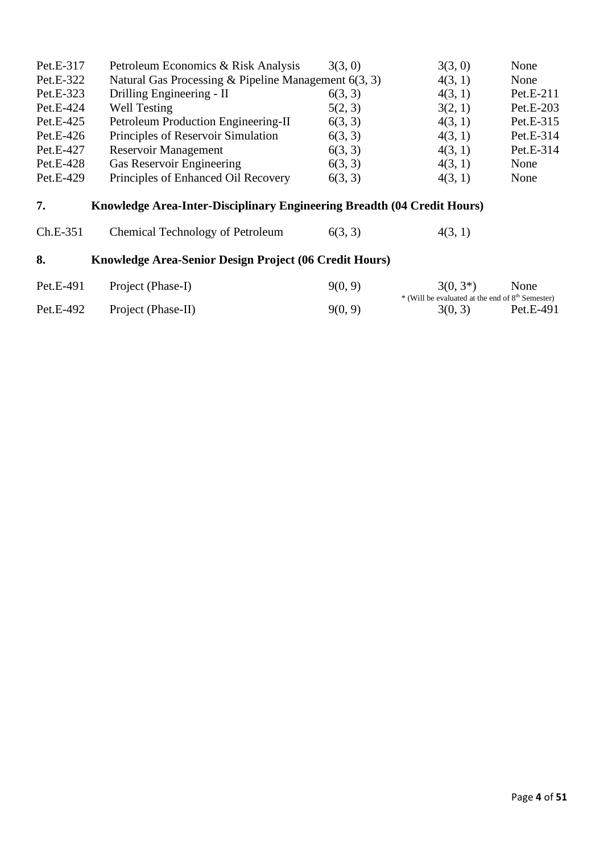| Pet.E-317 | Petroleum Economics & Risk Analysis                                     | 3(3, 0) | 3(3, 0)                                                                     | None      |
|-----------|-------------------------------------------------------------------------|---------|-----------------------------------------------------------------------------|-----------|
| Pet.E-322 | Natural Gas Processing & Pipeline Management $6(3, 3)$                  |         | 4(3, 1)                                                                     | None      |
| Pet.E-323 | Drilling Engineering - II                                               | 6(3, 3) | 4(3, 1)                                                                     | Pet.E-211 |
| Pet.E-424 | <b>Well Testing</b>                                                     | 5(2, 3) | 3(2, 1)                                                                     | Pet.E-203 |
| Pet.E-425 | Petroleum Production Engineering-II                                     | 6(3, 3) | 4(3, 1)                                                                     | Pet.E-315 |
| Pet.E-426 | Principles of Reservoir Simulation                                      | 6(3, 3) | 4(3, 1)                                                                     | Pet.E-314 |
| Pet.E-427 | Reservoir Management                                                    | 6(3, 3) | 4(3, 1)                                                                     | Pet.E-314 |
| Pet.E-428 | Gas Reservoir Engineering                                               | 6(3, 3) | 4(3, 1)                                                                     | None      |
| Pet.E-429 | Principles of Enhanced Oil Recovery                                     | 6(3, 3) | 4(3, 1)                                                                     | None      |
| 7.        | Knowledge Area-Inter-Disciplinary Engineering Breadth (04 Credit Hours) |         |                                                                             |           |
| Ch.E-351  | <b>Chemical Technology of Petroleum</b>                                 | 6(3, 3) | 4(3, 1)                                                                     |           |
| 8.        | Knowledge Area-Senior Design Project (06 Credit Hours)                  |         |                                                                             |           |
| Pet.E-491 | Project (Phase-I)                                                       | 9(0, 9) | $3(0, 3^*)$<br>* (Will be evaluated at the end of 8 <sup>th</sup> Semester) | None      |
| Pet.E-492 | Project (Phase-II)                                                      | 9(0, 9) | 3(0, 3)                                                                     | Pet.E-491 |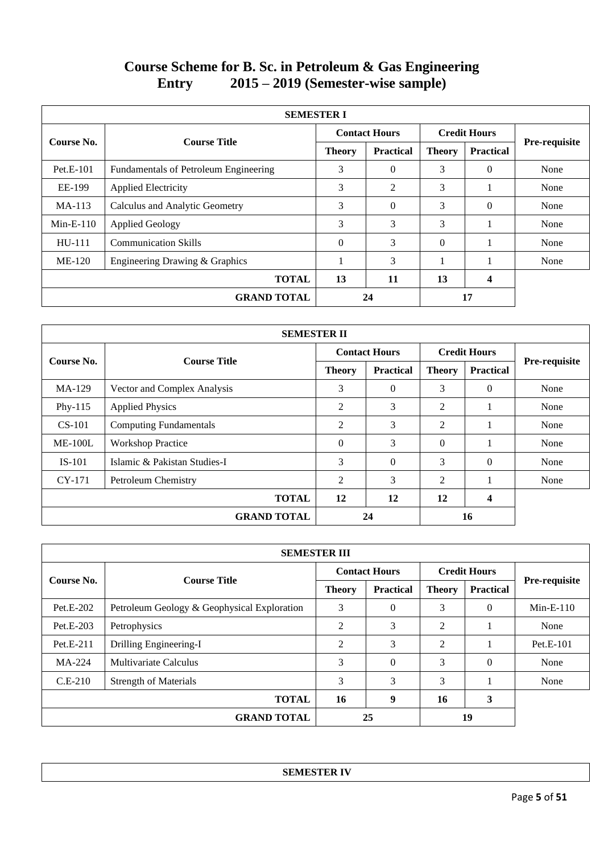# **Course Scheme for B. Sc. in Petroleum & Gas Engineering<br>Entry 2015 – 2019 (Semester-wise sample) Entry 2015 – 2019 (Semester-wise sample)**

| <b>SEMESTER I</b> |                                       |                      |                  |                     |                  |               |  |  |  |  |
|-------------------|---------------------------------------|----------------------|------------------|---------------------|------------------|---------------|--|--|--|--|
| Course No.        | <b>Course Title</b>                   | <b>Contact Hours</b> |                  | <b>Credit Hours</b> |                  |               |  |  |  |  |
|                   |                                       | <b>Theory</b>        | <b>Practical</b> | <b>Theory</b>       | <b>Practical</b> | Pre-requisite |  |  |  |  |
| $Pet.E-101$       | Fundamentals of Petroleum Engineering | 3                    | $\Omega$         | 3                   | $\Omega$         | None          |  |  |  |  |
| EE-199            | <b>Applied Electricity</b>            | 3                    | $\overline{2}$   | 3                   |                  | None          |  |  |  |  |
| $MA-113$          | Calculus and Analytic Geometry        | 3                    | $\Omega$         | 3                   | $\Omega$         | None          |  |  |  |  |
| $Min-E-110$       | <b>Applied Geology</b>                | 3                    | 3                | 3                   |                  | None          |  |  |  |  |
| $HU-111$          | <b>Communication Skills</b>           | $\Omega$             | 3                | $\Omega$            |                  | None          |  |  |  |  |
| $ME-120$          | Engineering Drawing & Graphics        |                      | 3                |                     |                  | None          |  |  |  |  |
|                   | <b>TOTAL</b>                          | 13                   | 11               | 13                  | 4                |               |  |  |  |  |
|                   | <b>GRAND TOTAL</b>                    |                      | 24               |                     | 17               |               |  |  |  |  |

| <b>SEMESTER II</b> |                               |                |                      |                |                     |               |  |  |  |
|--------------------|-------------------------------|----------------|----------------------|----------------|---------------------|---------------|--|--|--|
|                    |                               |                | <b>Contact Hours</b> |                | <b>Credit Hours</b> |               |  |  |  |
| Course No.         | <b>Course Title</b>           | <b>Theory</b>  | <b>Practical</b>     | <b>Theory</b>  | <b>Practical</b>    | Pre-requisite |  |  |  |
| $MA-129$           | Vector and Complex Analysis   | 3              | $\Omega$             | 3              | $\theta$            | None          |  |  |  |
| Phy-115            | <b>Applied Physics</b>        | 2              | 3                    | 2              |                     | None          |  |  |  |
| $CS-101$           | <b>Computing Fundamentals</b> | $\overline{2}$ | 3                    | $\overline{2}$ |                     | None          |  |  |  |
| $ME-100L$          | <b>Workshop Practice</b>      | $\theta$       | 3                    | $\Omega$       |                     | None          |  |  |  |
| $IS-101$           | Islamic & Pakistan Studies-I  | 3              | $\Omega$             | 3              | $\Omega$            | None          |  |  |  |
| $CY-171$           | Petroleum Chemistry           | 2              | 3                    | $\overline{2}$ |                     | None          |  |  |  |
|                    | <b>TOTAL</b>                  | 12             | 12                   | 12             | 4                   |               |  |  |  |
|                    | <b>GRAND TOTAL</b>            |                | 24                   |                | 16                  |               |  |  |  |

|             | <b>SEMESTER III</b>                         |                      |                  |                     |                  |               |  |  |  |  |
|-------------|---------------------------------------------|----------------------|------------------|---------------------|------------------|---------------|--|--|--|--|
| Course No.  | <b>Course Title</b>                         | <b>Contact Hours</b> |                  | <b>Credit Hours</b> |                  |               |  |  |  |  |
|             |                                             | <b>Theory</b>        | <b>Practical</b> | <b>Theory</b>       | <b>Practical</b> | Pre-requisite |  |  |  |  |
| $Pet.E-202$ | Petroleum Geology & Geophysical Exploration | 3                    | $\Omega$         | 3                   | $\Omega$         | $Min-E-110$   |  |  |  |  |
| $Pet.E-203$ | Petrophysics                                | 2                    | 3                | 2                   |                  | None          |  |  |  |  |
| Pet.E-211   | Drilling Engineering-I                      | $\overline{2}$       | 3                | $\mathfrak{D}$      |                  | $Pet.E-101$   |  |  |  |  |
| $MA-224$    | Multivariate Calculus                       | 3                    | $\Omega$         | 3                   | $\Omega$         | None          |  |  |  |  |
| $C.E-210$   | <b>Strength of Materials</b>                | 3                    | 3                | 3                   |                  | None          |  |  |  |  |
|             | <b>TOTAL</b>                                | 16                   | 9                | 16                  | 3                |               |  |  |  |  |
|             | <b>GRAND TOTAL</b>                          |                      | 25               |                     | 19               |               |  |  |  |  |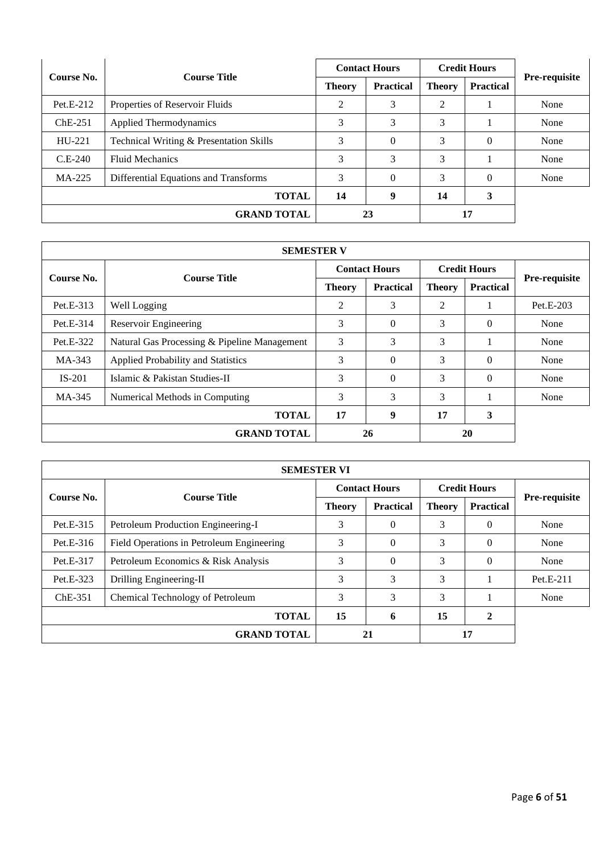|            | <b>Course Title</b>                     | <b>Contact Hours</b> |                  |               | <b>Credit Hours</b> |                      |
|------------|-----------------------------------------|----------------------|------------------|---------------|---------------------|----------------------|
| Course No. |                                         | <b>Theory</b>        | <b>Practical</b> | <b>Theory</b> | <b>Practical</b>    | <b>Pre-requisite</b> |
| Pet.E-212  | Properties of Reservoir Fluids          | 2                    | 3                | 2             |                     | None                 |
| $ChE-251$  | Applied Thermodynamics                  | 3                    | 3                | 3             |                     | None                 |
| $HU-221$   | Technical Writing & Presentation Skills | 3                    | $\Omega$         | 3             | $\theta$            | None                 |
| $C.E-240$  | <b>Fluid Mechanics</b>                  | 3                    | 3                | 3             |                     | None                 |
| MA-225     | Differential Equations and Transforms   | 3                    | $\Omega$         | 3             | $\Omega$            | None                 |
|            | <b>TOTAL</b>                            | 14                   | 9                | 14            | 3                   |                      |
|            | <b>GRAND TOTAL</b>                      |                      | 23               |               | 17                  |                      |

| <b>SEMESTER V</b> |                                              |                      |                  |                     |                  |               |  |  |  |
|-------------------|----------------------------------------------|----------------------|------------------|---------------------|------------------|---------------|--|--|--|
| Course No.        | <b>Course Title</b>                          | <b>Contact Hours</b> |                  | <b>Credit Hours</b> |                  |               |  |  |  |
|                   |                                              | <b>Theory</b>        | <b>Practical</b> | <b>Theory</b>       | <b>Practical</b> | Pre-requisite |  |  |  |
| $Pet.E-313$       | Well Logging                                 | 2                    | 3                | 2                   |                  | Pet.E-203     |  |  |  |
| Pet.E-314         | Reservoir Engineering                        | 3                    | $\Omega$         | 3                   | $\Omega$         | None          |  |  |  |
| Pet.E-322         | Natural Gas Processing & Pipeline Management | 3                    | 3                | 3                   |                  | None          |  |  |  |
| MA-343            | Applied Probability and Statistics           | 3                    | $\Omega$         | 3                   | $\Omega$         | None          |  |  |  |
| $IS-201$          | Islamic & Pakistan Studies-II                | 3                    | $\Omega$         | 3                   | $\Omega$         | None          |  |  |  |
| MA-345            | Numerical Methods in Computing               | 3                    | 3                | 3                   |                  | None          |  |  |  |
|                   | <b>TOTAL</b>                                 | 17                   | 9                | 17                  | 3                |               |  |  |  |
|                   | <b>GRAND TOTAL</b>                           |                      | 26               |                     | 20               |               |  |  |  |

| <b>SEMESTER VI</b> |                                           |                      |                  |                     |                  |                      |  |  |  |
|--------------------|-------------------------------------------|----------------------|------------------|---------------------|------------------|----------------------|--|--|--|
| Course No.         | <b>Course Title</b>                       | <b>Contact Hours</b> |                  | <b>Credit Hours</b> |                  |                      |  |  |  |
|                    |                                           | <b>Theory</b>        | <b>Practical</b> | <b>Theory</b>       | <b>Practical</b> | <b>Pre-requisite</b> |  |  |  |
| Pet.E-315          | Petroleum Production Engineering-I        | 3                    | $\Omega$         | 3                   | $\Omega$         | None                 |  |  |  |
| Pet.E-316          | Field Operations in Petroleum Engineering | 3                    | $\Omega$         | 3                   | $\theta$         | None                 |  |  |  |
| Pet.E-317          | Petroleum Economics & Risk Analysis       | 3                    | $\Omega$         | 3                   | $\Omega$         | None                 |  |  |  |
| Pet.E-323          | Drilling Engineering-II                   | 3                    | 3                | 3                   |                  | Pet.E-211            |  |  |  |
| $ChE-351$          | Chemical Technology of Petroleum          | 3                    | 3                | 3                   |                  | None                 |  |  |  |
|                    | <b>TOTAL</b>                              | 15                   | 6                | 15                  | $\mathbf{2}$     |                      |  |  |  |
|                    | <b>GRAND TOTAL</b>                        |                      | 21               |                     | 17               |                      |  |  |  |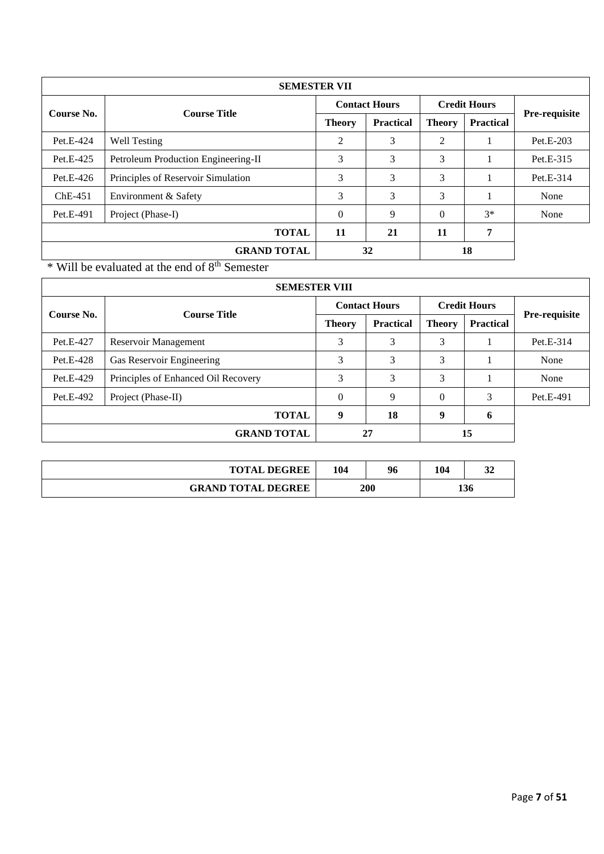|            | <b>SEMESTER VII</b>                 |                      |                  |                     |           |               |  |  |  |  |  |
|------------|-------------------------------------|----------------------|------------------|---------------------|-----------|---------------|--|--|--|--|--|
| Course No. | <b>Course Title</b>                 | <b>Contact Hours</b> |                  | <b>Credit Hours</b> |           |               |  |  |  |  |  |
|            |                                     | <b>Theory</b>        | <b>Practical</b> | <b>Theory</b>       | Practical | Pre-requisite |  |  |  |  |  |
| Pet.E-424  | Well Testing                        | 2                    | 3                | 2                   |           | Pet.E-203     |  |  |  |  |  |
| Pet.E-425  | Petroleum Production Engineering-II | 3                    | 3                | 3                   |           | Pet.E-315     |  |  |  |  |  |
| Pet.E-426  | Principles of Reservoir Simulation  | 3                    | 3                | 3                   |           | Pet.E-314     |  |  |  |  |  |
| $ChE-451$  | Environment & Safety                | 3                    | 3                | 3                   |           | None          |  |  |  |  |  |
| Pet.E-491  | Project (Phase-I)                   | $\Omega$             | 9                | $\Omega$            | $3*$      | None          |  |  |  |  |  |
|            | <b>TOTAL</b>                        | 11                   | 21               | 11                  | 7         |               |  |  |  |  |  |
|            | <b>GRAND TOTAL</b>                  |                      | 32               |                     | 18        |               |  |  |  |  |  |

 $\frac{1}{\sqrt{1 + \frac{1}{n}}}$  Will be evaluated at the end of  $8^{\text{th}}$  Semester

| <b>SEMESTER VIII</b> |                                     |                      |                  |                     |                  |                      |  |  |  |  |
|----------------------|-------------------------------------|----------------------|------------------|---------------------|------------------|----------------------|--|--|--|--|
| Course No.           | <b>Course Title</b>                 | <b>Contact Hours</b> |                  | <b>Credit Hours</b> |                  |                      |  |  |  |  |
|                      |                                     | <b>Theory</b>        | <b>Practical</b> | <b>Theory</b>       | <b>Practical</b> | <b>Pre-requisite</b> |  |  |  |  |
| Pet.E-427            | Reservoir Management                | 3                    | 3                | 3                   |                  | Pet.E-314            |  |  |  |  |
| Pet.E-428            | Gas Reservoir Engineering           | 3                    | 3                | 3                   |                  | None                 |  |  |  |  |
| Pet.E-429            | Principles of Enhanced Oil Recovery | 3                    | 3                | 3                   |                  | None                 |  |  |  |  |
| Pet.E-492            | Project (Phase-II)                  | $\Omega$             | 9                | $\Omega$            | 3                | Pet.E-491            |  |  |  |  |
|                      | <b>TOTAL</b>                        | 9                    | 18               | 9                   | 6                |                      |  |  |  |  |
|                      | <b>GRAND TOTAL</b>                  |                      | 27               |                     | 15               |                      |  |  |  |  |

| <b>TOTAL DEGREE</b>       | 104 | 96 | 104 |     |
|---------------------------|-----|----|-----|-----|
| <b>GRAND TOTAL DEGREE</b> | 200 |    |     | 136 |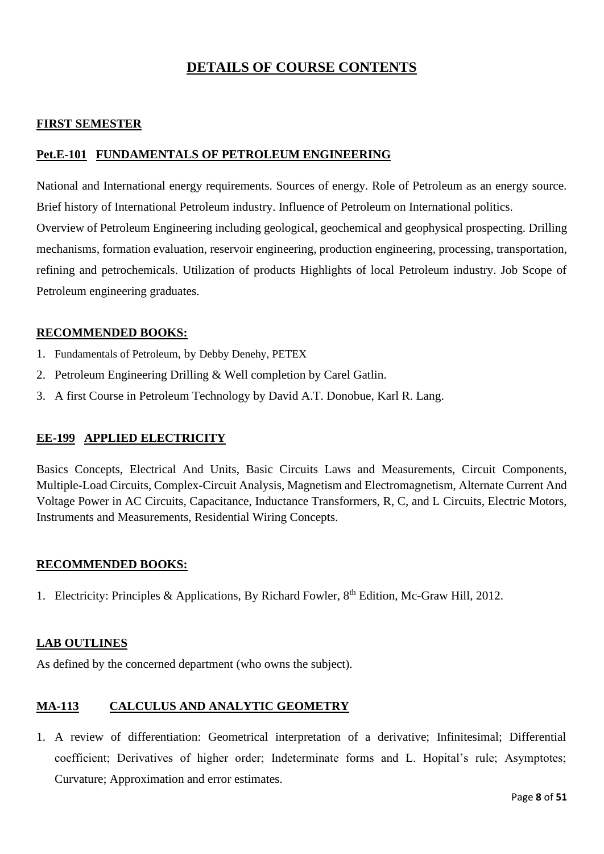# **DETAILS OF COURSE CONTENTS**

## **FIRST SEMESTER**

### **Pet.E-101 FUNDAMENTALS OF PETROLEUM ENGINEERING**

National and International energy requirements. Sources of energy. Role of Petroleum as an energy source. Brief history of International Petroleum industry. Influence of Petroleum on International politics. Overview of Petroleum Engineering including geological, geochemical and geophysical prospecting. Drilling mechanisms, formation evaluation, reservoir engineering, production engineering, processing, transportation, refining and petrochemicals. Utilization of products Highlights of local Petroleum industry. Job Scope of Petroleum engineering graduates.

### **RECOMMENDED BOOKS:**

- 1. Fundamentals of Petroleum, by Debby Denehy, PETEX
- 2. Petroleum Engineering Drilling & Well completion by Carel Gatlin.
- 3. A first Course in Petroleum Technology by David A.T. Donobue, Karl R. Lang.

#### **EE-199 APPLIED ELECTRICITY**

Basics Concepts, Electrical And Units, Basic Circuits Laws and Measurements, Circuit Components, Multiple-Load Circuits, Complex-Circuit Analysis, Magnetism and Electromagnetism, Alternate Current And Voltage Power in AC Circuits, Capacitance, Inductance Transformers, R, C, and L Circuits, Electric Motors, Instruments and Measurements, Residential Wiring Concepts.

#### **RECOMMENDED BOOKS:**

1. Electricity: Principles & Applications, By Richard Fowler, 8<sup>th</sup> Edition, Mc-Graw Hill, 2012.

#### **LAB OUTLINES**

As defined by the concerned department (who owns the subject).

# **MA-113 CALCULUS AND ANALYTIC GEOMETRY**

1. A review of differentiation: Geometrical interpretation of a derivative; Infinitesimal; Differential coefficient; Derivatives of higher order; Indeterminate forms and L. Hopital's rule; Asymptotes; Curvature; Approximation and error estimates.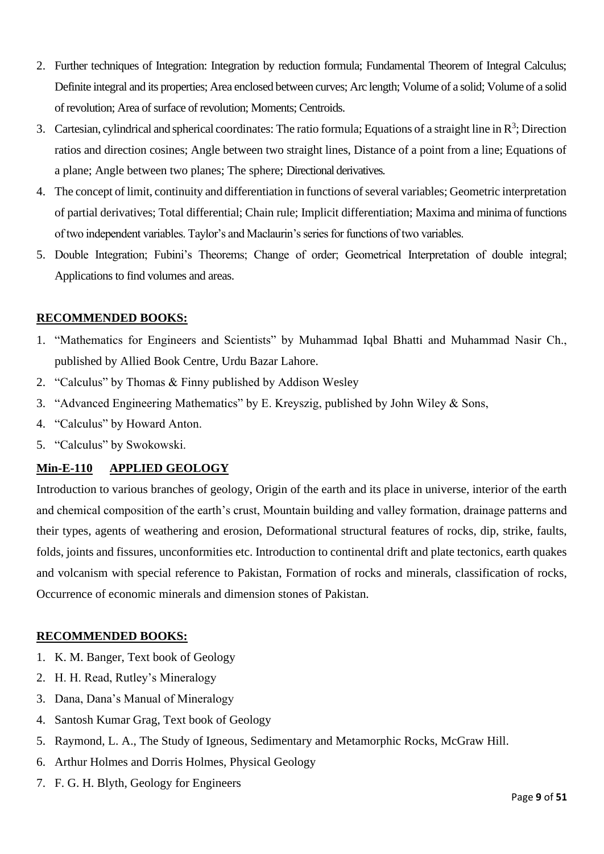- 2. Further techniques of Integration: Integration by reduction formula; Fundamental Theorem of Integral Calculus; Definite integral and its properties; Area enclosed between curves; Arc length; Volume of a solid; Volume of a solid of revolution; Area of surface of revolution; Moments; Centroids.
- 3. Cartesian, cylindrical and spherical coordinates: The ratio formula; Equations of a straight line in  $\mathbb{R}^3$ ; Direction ratios and direction cosines; Angle between two straight lines, Distance of a point from a line; Equations of a plane; Angle between two planes; The sphere; Directional derivatives.
- 4. The concept of limit, continuity and differentiation in functions of several variables; Geometric interpretation of partial derivatives; Total differential; Chain rule; Implicit differentiation; Maxima and minima of functions of two independent variables. Taylor's and Maclaurin's series for functions of two variables.
- 5. Double Integration; Fubini's Theorems; Change of order; Geometrical Interpretation of double integral; Applications to find volumes and areas.

### **RECOMMENDED BOOKS:**

- 1. "Mathematics for Engineers and Scientists" by Muhammad Iqbal Bhatti and Muhammad Nasir Ch., published by Allied Book Centre, Urdu Bazar Lahore.
- 2. "Calculus" by Thomas & Finny published by Addison Wesley
- 3. "Advanced Engineering Mathematics" by E. Kreyszig, published by John Wiley & Sons,
- 4. "Calculus" by Howard Anton.
- 5. "Calculus" by Swokowski.

# **Min-E-110 APPLIED GEOLOGY**

Introduction to various branches of geology, Origin of the earth and its place in universe, interior of the earth and chemical composition of the earth's crust, Mountain building and valley formation, drainage patterns and their types, agents of weathering and erosion, Deformational structural features of rocks, dip, strike, faults, folds, joints and fissures, unconformities etc. Introduction to continental drift and plate tectonics, earth quakes and volcanism with special reference to Pakistan, Formation of rocks and minerals, classification of rocks, Occurrence of economic minerals and dimension stones of Pakistan.

#### **RECOMMENDED BOOKS:**

- 1. K. M. Banger, Text book of Geology
- 2. H. H. Read, Rutley's Mineralogy
- 3. Dana, Dana's Manual of Mineralogy
- 4. Santosh Kumar Grag, Text book of Geology
- 5. Raymond, L. A., The Study of Igneous, Sedimentary and Metamorphic Rocks, McGraw Hill.
- 6. Arthur Holmes and Dorris Holmes, Physical Geology
- 7. F. G. H. Blyth, Geology for Engineers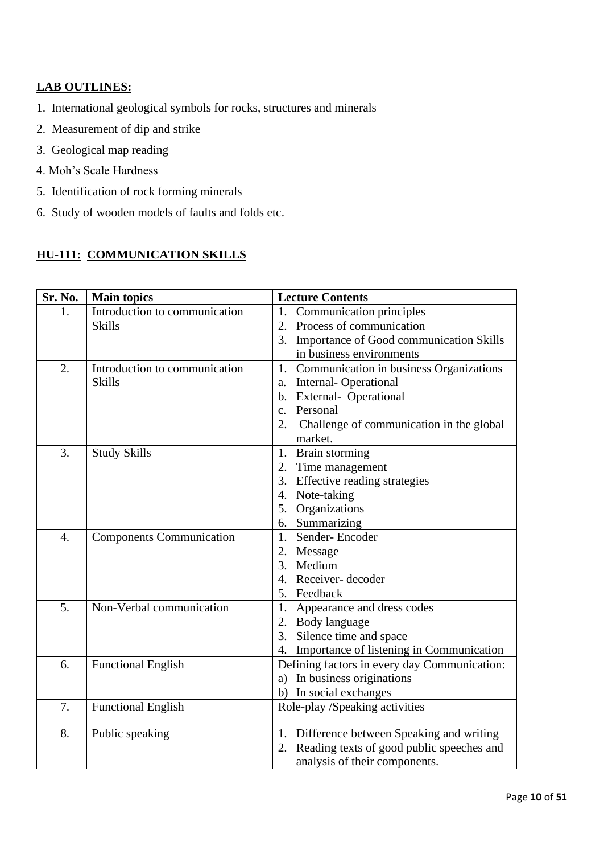# **LAB OUTLINES:**

- 1. International geological symbols for rocks, structures and minerals
- 2. Measurement of dip and strike
- 3. Geological map reading
- 4. Moh's Scale Hardness
- 5. Identification of rock forming minerals
- 6. Study of wooden models of faults and folds etc.

# **HU-111: COMMUNICATION SKILLS**

| Sr. No.          | <b>Main topics</b>              | <b>Lecture Contents</b> |                                              |
|------------------|---------------------------------|-------------------------|----------------------------------------------|
| 1.               | Introduction to communication   | 1.                      | Communication principles                     |
|                  | <b>Skills</b>                   |                         | 2. Process of communication                  |
|                  |                                 | 3.                      | Importance of Good communication Skills      |
|                  |                                 |                         | in business environments                     |
| 2.               | Introduction to communication   | 1.                      | Communication in business Organizations      |
|                  | <b>Skills</b>                   | a.                      | <b>Internal-Operational</b>                  |
|                  |                                 |                         | b. External- Operational                     |
|                  |                                 | $\mathbf{c}$ .          | Personal                                     |
|                  |                                 | 2.                      | Challenge of communication in the global     |
|                  |                                 |                         | market.                                      |
| 3.               | <b>Study Skills</b>             |                         | 1. Brain storming                            |
|                  |                                 |                         | 2. Time management                           |
|                  |                                 |                         | 3. Effective reading strategies              |
|                  |                                 | 4.                      | Note-taking                                  |
|                  |                                 |                         | 5. Organizations                             |
|                  |                                 |                         | 6. Summarizing                               |
| $\overline{4}$ . | <b>Components Communication</b> | 1.                      | Sender-Encoder                               |
|                  |                                 |                         | 2. Message                                   |
|                  |                                 | 3.                      | Medium                                       |
|                  |                                 | $\overline{4}$ .        | Receiver-decoder                             |
|                  |                                 |                         | 5. Feedback                                  |
| 5.               | Non-Verbal communication        | 1.                      | Appearance and dress codes                   |
|                  |                                 |                         | 2. Body language                             |
|                  |                                 | 3.                      | Silence time and space                       |
|                  |                                 | 4.                      | Importance of listening in Communication     |
| 6.               | <b>Functional English</b>       |                         | Defining factors in every day Communication: |
|                  |                                 |                         | a) In business originations                  |
|                  |                                 | b)                      | In social exchanges                          |
| 7.               | <b>Functional English</b>       |                         | Role-play /Speaking activities               |
| 8.               | Public speaking                 | 1.                      | Difference between Speaking and writing      |
|                  |                                 | 2.                      | Reading texts of good public speeches and    |
|                  |                                 |                         | analysis of their components.                |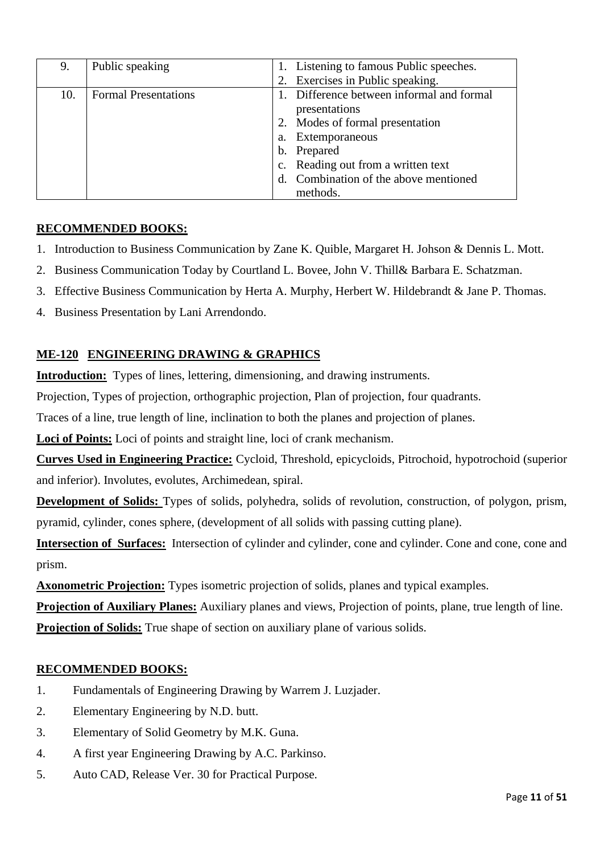| 9.  | Public speaking             | 1. Listening to famous Public speeches.   |
|-----|-----------------------------|-------------------------------------------|
|     |                             | 2. Exercises in Public speaking.          |
| 10. | <b>Formal Presentations</b> | 1. Difference between informal and formal |
|     |                             | presentations                             |
|     |                             | 2. Modes of formal presentation           |
|     |                             | a. Extemporaneous                         |
|     |                             | b. Prepared                               |
|     |                             | c. Reading out from a written text        |
|     |                             | d. Combination of the above mentioned     |
|     |                             | methods.                                  |

# **RECOMMENDED BOOKS:**

- 1. Introduction to Business Communication by Zane K. Quible, Margaret H. Johson & Dennis L. Mott.
- 2. Business Communication Today by Courtland L. Bovee, John V. Thill& Barbara E. Schatzman.
- 3. Effective Business Communication by Herta A. Murphy, Herbert W. Hildebrandt & Jane P. Thomas.
- 4. Business Presentation by Lani Arrendondo.

# **ME-120 ENGINEERING DRAWING & GRAPHICS**

**Introduction:** Types of lines, lettering, dimensioning, and drawing instruments.

Projection, Types of projection, orthographic projection, Plan of projection, four quadrants.

Traces of a line, true length of line, inclination to both the planes and projection of planes.

**Loci of Points:** Loci of points and straight line, loci of crank mechanism.

**Curves Used in Engineering Practice:** Cycloid, Threshold, epicycloids, Pitrochoid, hypotrochoid (superior and inferior). Involutes, evolutes, Archimedean, spiral.

**Development of Solids:** Types of solids, polyhedra, solids of revolution, construction, of polygon, prism, pyramid, cylinder, cones sphere, (development of all solids with passing cutting plane).

**Intersection of Surfaces:** Intersection of cylinder and cylinder, cone and cylinder. Cone and cone, cone and prism.

**Axonometric Projection:** Types isometric projection of solids, planes and typical examples.

**Projection of Auxiliary Planes:** Auxiliary planes and views, Projection of points, plane, true length of line. **Projection of Solids:** True shape of section on auxiliary plane of various solids.

# **RECOMMENDED BOOKS:**

- 1. Fundamentals of Engineering Drawing by Warrem J. Luzjader.
- 2. Elementary Engineering by N.D. butt.
- 3. Elementary of Solid Geometry by M.K. Guna.
- 4. A first year Engineering Drawing by A.C. Parkinso.
- 5. Auto CAD, Release Ver. 30 for Practical Purpose.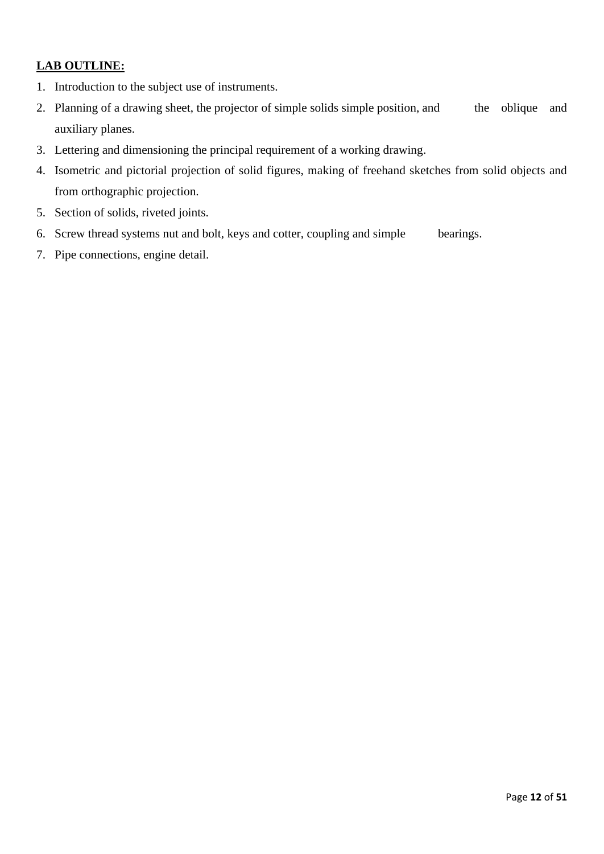# **LAB OUTLINE:**

- 1. Introduction to the subject use of instruments.
- 2. Planning of a drawing sheet, the projector of simple solids simple position, and the oblique and auxiliary planes.
- 3. Lettering and dimensioning the principal requirement of a working drawing.
- 4. Isometric and pictorial projection of solid figures, making of freehand sketches from solid objects and from orthographic projection.
- 5. Section of solids, riveted joints.
- 6. Screw thread systems nut and bolt, keys and cotter, coupling and simple bearings.
- 7. Pipe connections, engine detail.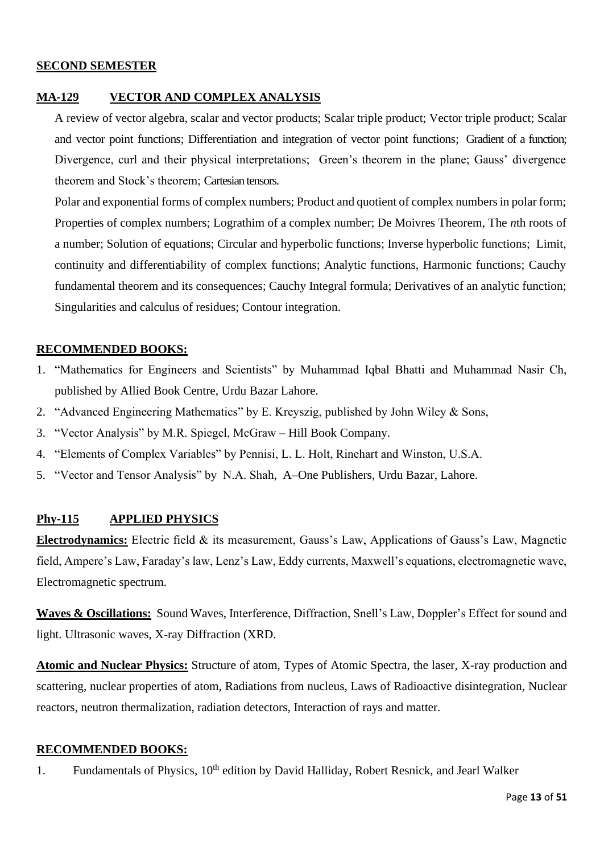#### **SECOND SEMESTER**

#### **MA-129 VECTOR AND COMPLEX ANALYSIS**

A review of vector algebra, scalar and vector products; Scalar triple product; Vector triple product; Scalar and vector point functions; Differentiation and integration of vector point functions; Gradient of a function; Divergence, curl and their physical interpretations; Green's theorem in the plane; Gauss' divergence theorem and Stock's theorem; Cartesian tensors.

Polar and exponential forms of complex numbers; Product and quotient of complex numbers in polar form; Properties of complex numbers; Lograthim of a complex number; De Moivres Theorem, The *n*th roots of a number; Solution of equations; Circular and hyperbolic functions; Inverse hyperbolic functions; Limit, continuity and differentiability of complex functions; Analytic functions, Harmonic functions; Cauchy fundamental theorem and its consequences; Cauchy Integral formula; Derivatives of an analytic function; Singularities and calculus of residues; Contour integration.

#### **RECOMMENDED BOOKS:**

- 1. "Mathematics for Engineers and Scientists" by Muhammad Iqbal Bhatti and Muhammad Nasir Ch, published by Allied Book Centre, Urdu Bazar Lahore.
- 2. "Advanced Engineering Mathematics" by E. Kreyszig, published by John Wiley & Sons,
- 3. "Vector Analysis" by M.R. Spiegel, McGraw Hill Book Company.
- 4. "Elements of Complex Variables" by Pennisi, L. L. Holt, Rinehart and Winston, U.S.A.
- 5. "Vector and Tensor Analysis" by N.A. Shah, A–One Publishers, Urdu Bazar, Lahore.

#### **Phy-115 APPLIED PHYSICS**

**Electrodynamics:** Electric field & its measurement, Gauss's Law, Applications of Gauss's Law, Magnetic field, Ampere's Law, Faraday's law, Lenz's Law, Eddy currents, Maxwell's equations, electromagnetic wave, Electromagnetic spectrum.

**Waves & Oscillations:** Sound Waves, Interference, Diffraction, Snell's Law, Doppler's Effect for sound and light. Ultrasonic waves, X-ray Diffraction (XRD.

**Atomic and Nuclear Physics:** Structure of atom, Types of Atomic Spectra, the laser, X-ray production and scattering, nuclear properties of atom, Radiations from nucleus, Laws of Radioactive disintegration, Nuclear reactors, neutron thermalization, radiation detectors, Interaction of rays and matter.

#### **RECOMMENDED BOOKS:**

1. Fundamentals of Physics, 10<sup>th</sup> edition by David Halliday, Robert Resnick, and Jearl Walker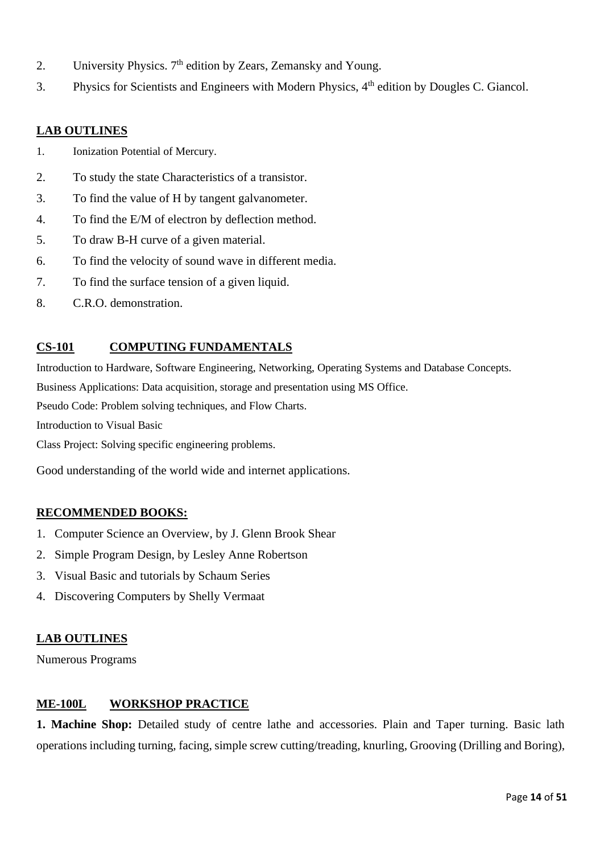- 2. University Physics. 7<sup>th</sup> edition by Zears, Zemansky and Young.
- 3. Physics for Scientists and Engineers with Modern Physics,  $4<sup>th</sup>$  edition by Dougles C. Giancol.

### **LAB OUTLINES**

- 1. Ionization Potential of Mercury.
- 2. To study the state Characteristics of a transistor.
- 3. To find the value of H by tangent galvanometer.
- 4. To find the E/M of electron by deflection method.
- 5. To draw B-H curve of a given material.
- 6. To find the velocity of sound wave in different media.
- 7. To find the surface tension of a given liquid.
- 8. C.R.O. demonstration.

# **CS-101 COMPUTING FUNDAMENTALS**

Introduction to Hardware, Software Engineering, Networking, Operating Systems and Database Concepts. Business Applications: Data acquisition, storage and presentation using MS Office.

Pseudo Code: Problem solving techniques, and Flow Charts.

Introduction to Visual Basic

Class Project: Solving specific engineering problems.

Good understanding of the world wide and internet applications.

#### **RECOMMENDED BOOKS:**

- 1. Computer Science an Overview, by J. Glenn Brook Shear
- 2. Simple Program Design, by Lesley Anne Robertson
- 3. Visual Basic and tutorials by Schaum Series
- 4. Discovering Computers by Shelly Vermaat

#### **LAB OUTLINES**

Numerous Programs

#### **ME-100L WORKSHOP PRACTICE**

1. Machine Shop: Detailed study of centre lathe and accessories. Plain and Taper turning. Basic lath operations including turning, facing, simple screw cutting/treading, knurling, Grooving (Drilling and Boring),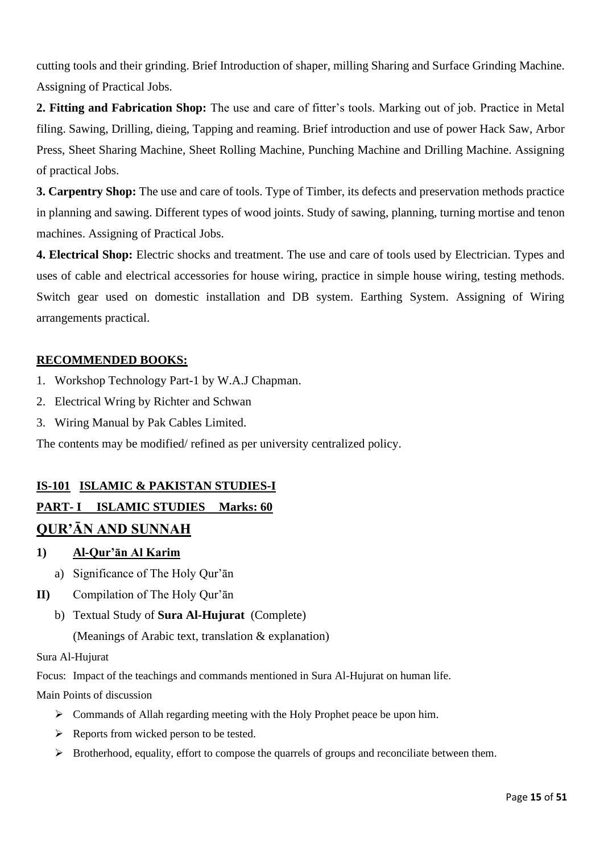cutting tools and their grinding. Brief Introduction of shaper, milling Sharing and Surface Grinding Machine. Assigning of Practical Jobs.

**2. Fitting and Fabrication Shop:** The use and care of fitter's tools. Marking out of job. Practice in Metal filing. Sawing, Drilling, dieing, Tapping and reaming. Brief introduction and use of power Hack Saw, Arbor Press, Sheet Sharing Machine, Sheet Rolling Machine, Punching Machine and Drilling Machine. Assigning of practical Jobs.

**3. Carpentry Shop:** The use and care of tools. Type of Timber, its defects and preservation methods practice in planning and sawing. Different types of wood joints. Study of sawing, planning, turning mortise and tenon machines. Assigning of Practical Jobs.

**4. Electrical Shop:** Electric shocks and treatment. The use and care of tools used by Electrician. Types and uses of cable and electrical accessories for house wiring, practice in simple house wiring, testing methods. Switch gear used on domestic installation and DB system. Earthing System. Assigning of Wiring arrangements practical.

# **RECOMMENDED BOOKS:**

- 1. Workshop Technology Part-1 by W.A.J Chapman.
- 2. Electrical Wring by Richter and Schwan
- 3. Wiring Manual by Pak Cables Limited.

The contents may be modified/ refined as per university centralized policy.

# **IS-101 ISLAMIC & PAKISTAN STUDIES-I**

# **PART- I ISLAMIC STUDIES Marks: 60**

# **QUR'ĀN AND SUNNAH**

- **1) Al-Qur'ān Al Karim** 
	- a) Significance of The Holy Qur'ān
- **II)** Compilation of The Holy Qur'ān
	- b) Textual Study of **Sura Al-Hujurat** (Complete)

(Meanings of Arabic text, translation & explanation)

Sura Al-Hujurat

Focus: Impact of the teachings and commands mentioned in Sura Al-Hujurat on human life.

Main Points of discussion

- ➢ Commands of Allah regarding meeting with the Holy Prophet peace be upon him.
- $\triangleright$  Reports from wicked person to be tested.
- ➢ Brotherhood, equality, effort to compose the quarrels of groups and reconciliate between them.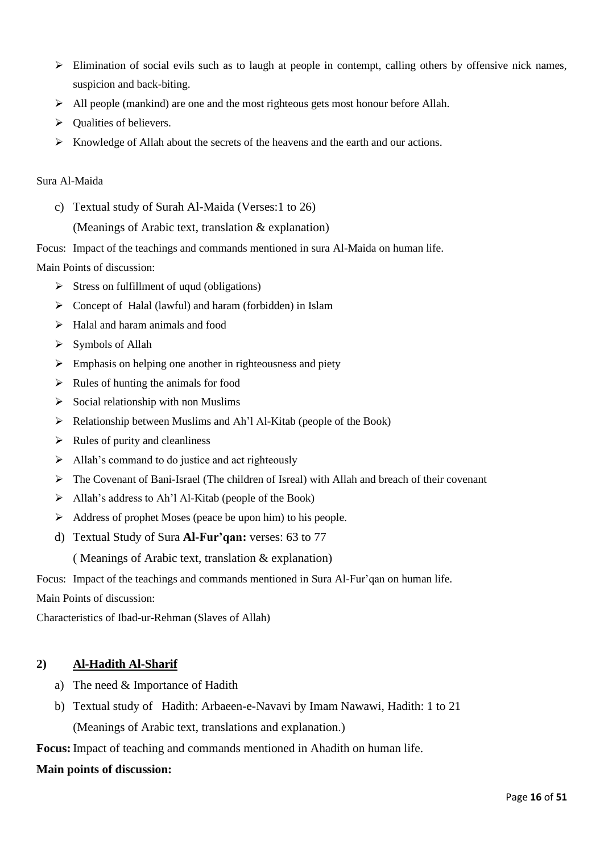- ➢ Elimination of social evils such as to laugh at people in contempt, calling others by offensive nick names, suspicion and back-biting.
- $\triangleright$  All people (mankind) are one and the most righteous gets most honour before Allah.
- ➢ Qualities of believers.
- $\triangleright$  Knowledge of Allah about the secrets of the heavens and the earth and our actions.

#### Sura Al-Maida

c) Textual study of Surah Al-Maida (Verses:1 to 26)

#### (Meanings of Arabic text, translation & explanation)

Focus: Impact of the teachings and commands mentioned in sura Al-Maida on human life.

Main Points of discussion:

- $\triangleright$  Stress on fulfillment of uqud (obligations)
- ➢ Concept of Halal (lawful) and haram (forbidden) in Islam
- ➢ Halal and haram animals and food
- ➢ Symbols of Allah
- $\triangleright$  Emphasis on helping one another in righteousness and piety
- $\triangleright$  Rules of hunting the animals for food
- $\triangleright$  Social relationship with non Muslims
- ➢ Relationship between Muslims and Ah'l Al-Kitab (people of the Book)
- $\triangleright$  Rules of purity and cleanliness
- ➢ Allah's command to do justice and act righteously
- $\triangleright$  The Covenant of Bani-Israel (The children of Isreal) with Allah and breach of their covenant
- ➢ Allah's address to Ah'l Al-Kitab (people of the Book)
- ➢ Address of prophet Moses (peace be upon him) to his people.
- d) Textual Study of Sura **Al-Fur'qan:** verses: 63 to 77

( Meanings of Arabic text, translation & explanation)

Focus: Impact of the teachings and commands mentioned in Sura Al-Fur'qan on human life.

Main Points of discussion:

Characteristics of Ibad-ur-Rehman (Slaves of Allah)

#### **2) Al-Hadith Al-Sharif**

- a) The need & Importance of Hadith
- b) Textual study of Hadith: Arbaeen-e-Navavi by Imam Nawawi, Hadith: 1 to 21 (Meanings of Arabic text, translations and explanation.)

**Focus:** Impact of teaching and commands mentioned in Ahadith on human life.

#### **Main points of discussion:**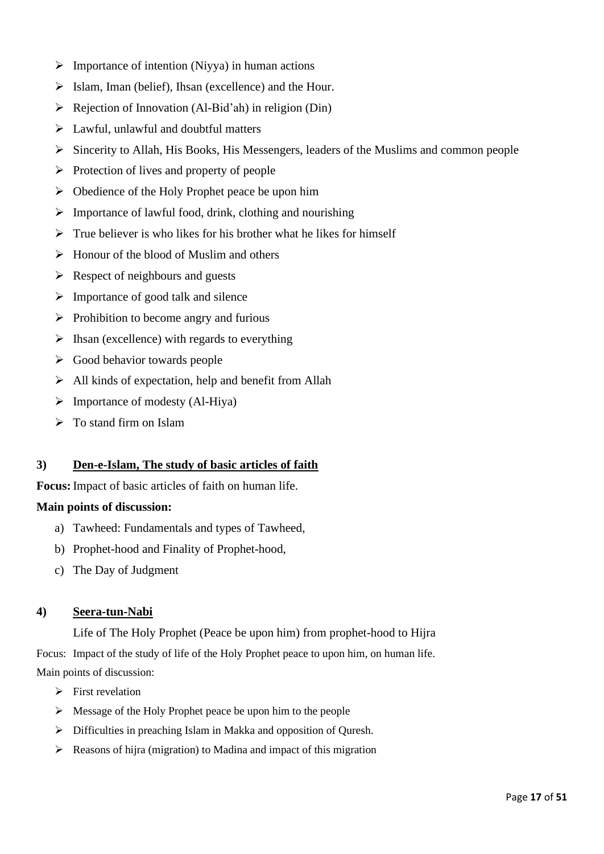- $\triangleright$  Importance of intention (Niyya) in human actions
- $\triangleright$  Islam, Iman (belief), Ihsan (excellence) and the Hour.
- $\triangleright$  Rejection of Innovation (Al-Bid'ah) in religion (Din)
- $\triangleright$  Lawful, unlawful and doubtful matters
- ➢ Sincerity to Allah, His Books, His Messengers, leaders of the Muslims and common people
- ➢ Protection of lives and property of people
- $\triangleright$  Obedience of the Holy Prophet peace be upon him
- $\triangleright$  Importance of lawful food, drink, clothing and nourishing
- $\triangleright$  True believer is who likes for his brother what he likes for himself
- $\triangleright$  Honour of the blood of Muslim and others
- $\triangleright$  Respect of neighbours and guests
- $\triangleright$  Importance of good talk and silence
- $\triangleright$  Prohibition to become angry and furious
- $\triangleright$  Ihsan (excellence) with regards to everything
- ➢ Good behavior towards people
- $\triangleright$  All kinds of expectation, help and benefit from Allah
- $\triangleright$  Importance of modesty (Al-Hiya)
- $\triangleright$  To stand firm on Islam

#### **3) Den-e-Islam, The study of basic articles of faith**

**Focus:** Impact of basic articles of faith on human life.

#### **Main points of discussion:**

- a) Tawheed: Fundamentals and types of Tawheed,
- b) Prophet-hood and Finality of Prophet-hood,
- c) The Day of Judgment

#### **4) Seera-tun-Nabi**

Life of The Holy Prophet (Peace be upon him) from prophet-hood to Hijra Focus: Impact of the study of life of the Holy Prophet peace to upon him, on human life. Main points of discussion:

- $\triangleright$  First revelation
- ➢ Message of the Holy Prophet peace be upon him to the people
- ➢ Difficulties in preaching Islam in Makka and opposition of Quresh.
- ➢ Reasons of hijra (migration) to Madina and impact of this migration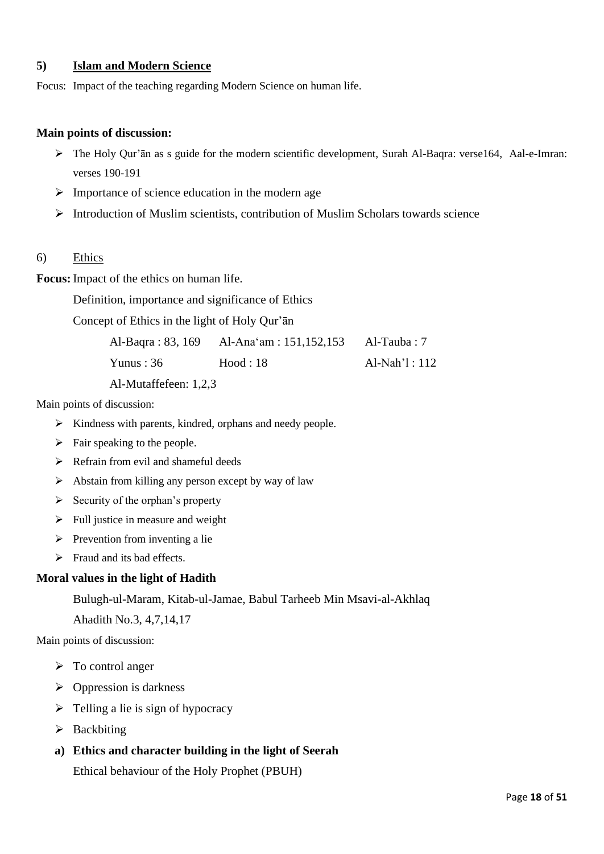### **5) Islam and Modern Science**

Focus: Impact of the teaching regarding Modern Science on human life.

#### **Main points of discussion:**

- ➢ The Holy Qur'ān as s guide for the modern scientific development, Surah Al-Baqra: verse164, Aal-e-Imran: verses 190-191
- $\triangleright$  Importance of science education in the modern age
- $\triangleright$  Introduction of Muslim scientists, contribution of Muslim Scholars towards science
- 6) Ethics

**Focus:** Impact of the ethics on human life.

Definition, importance and significance of Ethics

Concept of Ethics in the light of Holy Qur'ān

| Al-Baqra : 83, 169 | Al-Ana'am : $151,152,153$ | Al-Tauba: 7 |
|--------------------|---------------------------|-------------|
|                    |                           |             |

Yunus : 36 Hood : 18 Al-Nah'l : 112

Al-Mutaffefeen: 1,2,3

Main points of discussion:

- ➢ Kindness with parents, kindred, orphans and needy people.
- $\triangleright$  Fair speaking to the people.
- $\triangleright$  Refrain from evil and shameful deeds
- $\triangleright$  Abstain from killing any person except by way of law
- $\triangleright$  Security of the orphan's property
- $\triangleright$  Full justice in measure and weight
- $\triangleright$  Prevention from inventing a lie
- ➢ Fraud and its bad effects.

#### **Moral values in the light of Hadith**

Bulugh-ul-Maram, Kitab-ul-Jamae, Babul Tarheeb Min Msavi-al-Akhlaq

Ahadith No.3, 4,7,14,17

Main points of discussion:

- ➢ To control anger
- $\triangleright$  Oppression is darkness
- $\triangleright$  Telling a lie is sign of hypocracy
- ➢ Backbiting

# **a) Ethics and character building in the light of Seerah**

Ethical behaviour of the Holy Prophet (PBUH)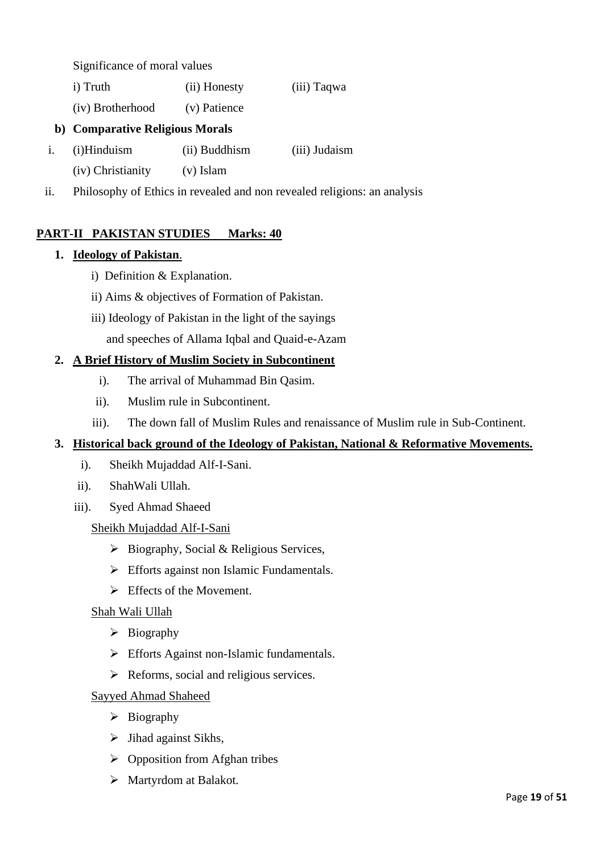Significance of moral values

i) Truth (ii) Honesty (iii) Taqwa

(iv) Brotherhood (v) Patience

# **b) Comparative Religious Morals**

- i. (i)Hinduism (ii) Buddhism (iii) Judaism
	- (iv) Christianity (v) Islam
- ii. Philosophy of Ethics in revealed and non revealed religions: an analysis

# **PART-II PAKISTAN STUDIES Marks: 40**

# **1. Ideology of Pakistan**.

- i) Definition & Explanation.
- ii) Aims & objectives of Formation of Pakistan.
- iii) Ideology of Pakistan in the light of the sayings

and speeches of Allama Iqbal and Quaid-e-Azam

# **2. A Brief History of Muslim Society in Subcontinent**

- i). The arrival of Muhammad Bin Qasim.
- ii). Muslim rule in Subcontinent.
- iii). The down fall of Muslim Rules and renaissance of Muslim rule in Sub-Continent.

# **3. Historical back ground of the Ideology of Pakistan, National & Reformative Movements.**

- i). Sheikh Mujaddad Alf-I-Sani.
- ii). ShahWali Ullah.
- iii). Syed Ahmad Shaeed

# Sheikh Mujaddad Alf-I-Sani

- ➢ Biography, Social & Religious Services,
- $\triangleright$  Efforts against non Islamic Fundamentals.
- $\triangleright$  Effects of the Movement.

# Shah Wali Ullah

- ➢ Biography
- ➢ Efforts Against non-Islamic fundamentals.
- ➢ Reforms, social and religious services.

# Sayyed Ahmad Shaheed

- ➢ Biography
- $\triangleright$  Jihad against Sikhs,
- ➢ Opposition from Afghan tribes
- ➢ Martyrdom at Balakot.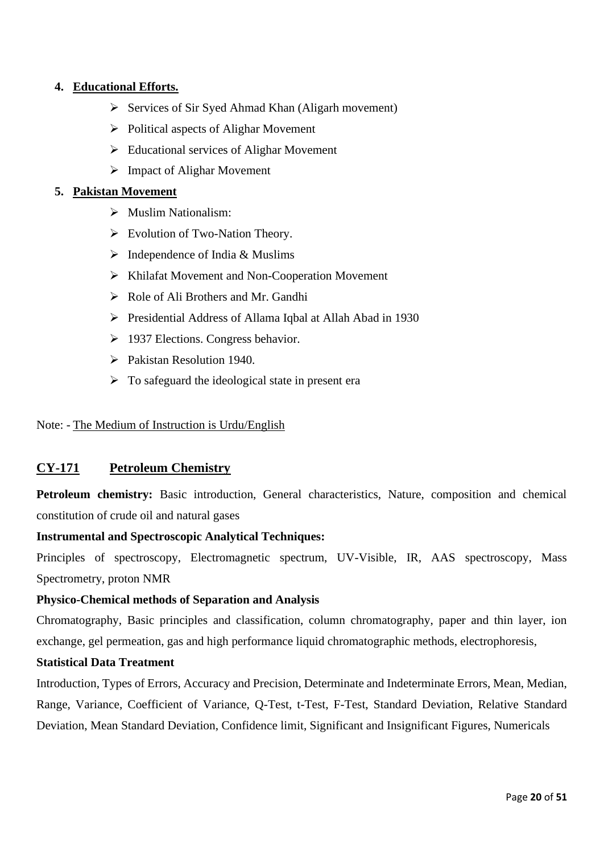# **4. Educational Efforts.**

- ➢ Services of Sir Syed Ahmad Khan (Aligarh movement)
- ➢ Political aspects of Alighar Movement
- ➢ Educational services of Alighar Movement
- ➢ Impact of Alighar Movement

#### **5. Pakistan Movement**

- ➢ Muslim Nationalism:
- ➢ Evolution of Two-Nation Theory.
- $\triangleright$  Independence of India & Muslims
- ➢ Khilafat Movement and Non-Cooperation Movement
- ➢ Role of Ali Brothers and Mr. Gandhi
- ➢ Presidential Address of Allama Iqbal at Allah Abad in 1930
- ➢ 1937 Elections. Congress behavior.
- ➢ Pakistan Resolution 1940.
- $\triangleright$  To safeguard the ideological state in present era

Note: - The Medium of Instruction is Urdu/English

# **CY-171 Petroleum Chemistry**

Petroleum chemistry: Basic introduction, General characteristics, Nature, composition and chemical constitution of crude oil and natural gases

#### **Instrumental and Spectroscopic Analytical Techniques:**

Principles of spectroscopy, Electromagnetic spectrum, UV-Visible, IR, AAS spectroscopy, Mass Spectrometry, proton NMR

#### **Physico-Chemical methods of Separation and Analysis**

Chromatography, Basic principles and classification, column chromatography, paper and thin layer, ion exchange, gel permeation, gas and high performance liquid chromatographic methods, electrophoresis,

### **Statistical Data Treatment**

Introduction, Types of Errors, Accuracy and Precision, Determinate and Indeterminate Errors, Mean, Median, Range, Variance, Coefficient of Variance, Q-Test, t-Test, F-Test, Standard Deviation, Relative Standard Deviation, Mean Standard Deviation, Confidence limit, Significant and Insignificant Figures, Numericals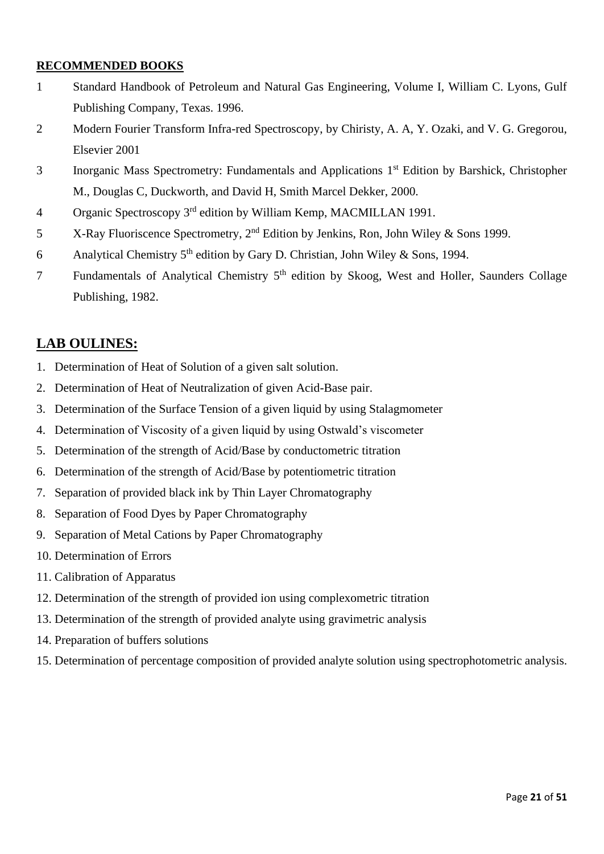# **RECOMMENDED BOOKS**

- 1 Standard Handbook of Petroleum and Natural Gas Engineering, Volume I, William C. Lyons, Gulf Publishing Company, Texas. 1996.
- 2 Modern Fourier Transform Infra-red Spectroscopy, by Chiristy, A. A, Y. Ozaki, and V. G. Gregorou, Elsevier 2001
- 3 Inorganic Mass Spectrometry: Fundamentals and Applications 1<sup>st</sup> Edition by Barshick, Christopher M., Douglas C, Duckworth, and David H, Smith Marcel Dekker, 2000.
- 4 Organic Spectroscopy 3rd edition by William Kemp, MACMILLAN 1991.
- 5 X-Ray Fluoriscence Spectrometry, 2nd Edition by Jenkins, Ron, John Wiley & Sons 1999.
- 6 Analytical Chemistry  $5<sup>th</sup>$  edition by Gary D. Christian, John Wiley & Sons, 1994.
- 7 Fundamentals of Analytical Chemistry 5th edition by Skoog, West and Holler, Saunders Collage Publishing, 1982.

# **LAB OULINES:**

- 1. Determination of Heat of Solution of a given salt solution.
- 2. Determination of Heat of Neutralization of given Acid-Base pair.
- 3. Determination of the Surface Tension of a given liquid by using Stalagmometer
- 4. Determination of Viscosity of a given liquid by using Ostwald's viscometer
- 5. Determination of the strength of Acid/Base by conductometric titration
- 6. Determination of the strength of Acid/Base by potentiometric titration
- 7. Separation of provided black ink by Thin Layer Chromatography
- 8. Separation of Food Dyes by Paper Chromatography
- 9. Separation of Metal Cations by Paper Chromatography
- 10. Determination of Errors
- 11. Calibration of Apparatus
- 12. Determination of the strength of provided ion using complexometric titration
- 13. Determination of the strength of provided analyte using gravimetric analysis
- 14. Preparation of buffers solutions
- 15. Determination of percentage composition of provided analyte solution using spectrophotometric analysis.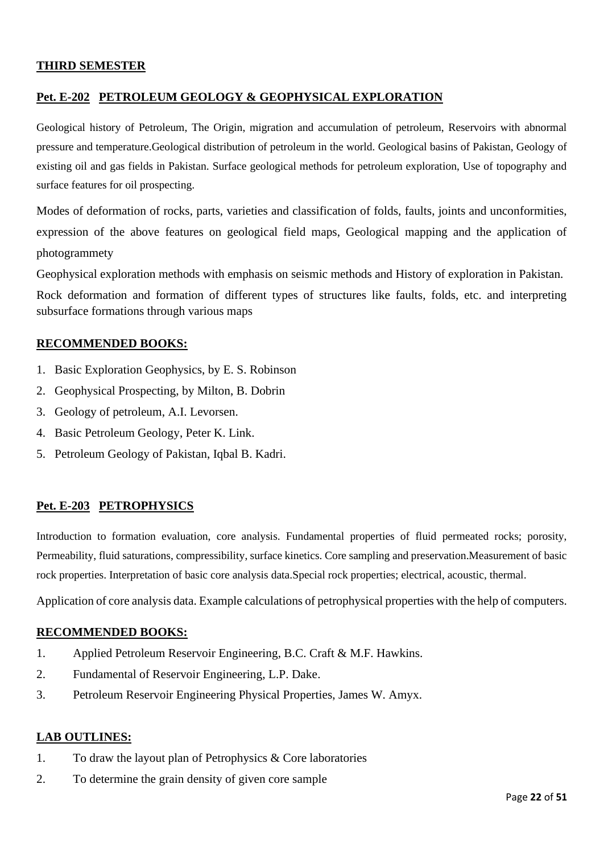#### **THIRD SEMESTER**

# **Pet. E-202 PETROLEUM GEOLOGY & GEOPHYSICAL EXPLORATION**

Geological history of Petroleum, The Origin, migration and accumulation of petroleum, Reservoirs with abnormal pressure and temperature.Geological distribution of petroleum in the world. Geological basins of Pakistan, Geology of existing oil and gas fields in Pakistan. Surface geological methods for petroleum exploration, Use of topography and surface features for oil prospecting.

Modes of deformation of rocks, parts, varieties and classification of folds, faults, joints and unconformities, expression of the above features on geological field maps, Geological mapping and the application of photogrammety

Geophysical exploration methods with emphasis on seismic methods and History of exploration in Pakistan.

Rock deformation and formation of different types of structures like faults, folds, etc. and interpreting subsurface formations through various maps

### **RECOMMENDED BOOKS:**

- 1. Basic Exploration Geophysics, by E. S. Robinson
- 2. Geophysical Prospecting, by Milton, B. Dobrin
- 3. Geology of petroleum, A.I. Levorsen.
- 4. Basic Petroleum Geology, Peter K. Link.
- 5. Petroleum Geology of Pakistan, Iqbal B. Kadri.

# **Pet. E-203 PETROPHYSICS**

Introduction to formation evaluation, core analysis. Fundamental properties of fluid permeated rocks; porosity, Permeability, fluid saturations, compressibility, surface kinetics. Core sampling and preservation.Measurement of basic rock properties. Interpretation of basic core analysis data.Special rock properties; electrical, acoustic, thermal.

Application of core analysis data. Example calculations of petrophysical properties with the help of computers.

#### **RECOMMENDED BOOKS:**

- 1. Applied Petroleum Reservoir Engineering, B.C. Craft & M.F. Hawkins.
- 2. Fundamental of Reservoir Engineering, L.P. Dake.
- 3. Petroleum Reservoir Engineering Physical Properties, James W. Amyx.

#### **LAB OUTLINES:**

- 1. To draw the layout plan of Petrophysics & Core laboratories
- 2. To determine the grain density of given core sample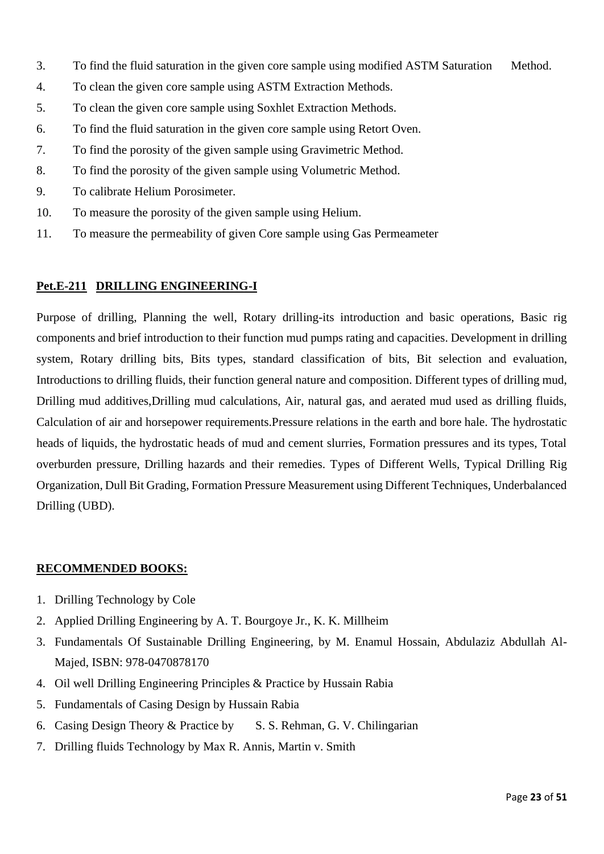- 3. To find the fluid saturation in the given core sample using modified ASTM Saturation Method.
- 4. To clean the given core sample using ASTM Extraction Methods.
- 5. To clean the given core sample using Soxhlet Extraction Methods.
- 6. To find the fluid saturation in the given core sample using Retort Oven.
- 7. To find the porosity of the given sample using Gravimetric Method.
- 8. To find the porosity of the given sample using Volumetric Method.
- 9. To calibrate Helium Porosimeter.
- 10. To measure the porosity of the given sample using Helium.
- 11. To measure the permeability of given Core sample using Gas Permeameter

### **Pet.E-211 DRILLING ENGINEERING-I**

Purpose of drilling, Planning the well, Rotary drilling-its introduction and basic operations, Basic rig components and brief introduction to their function mud pumps rating and capacities. Development in drilling system, Rotary drilling bits, Bits types, standard classification of bits, Bit selection and evaluation, Introductions to drilling fluids, their function general nature and composition. Different types of drilling mud, Drilling mud additives,Drilling mud calculations, Air, natural gas, and aerated mud used as drilling fluids, Calculation of air and horsepower requirements.Pressure relations in the earth and bore hale. The hydrostatic heads of liquids, the hydrostatic heads of mud and cement slurries, Formation pressures and its types, Total overburden pressure, Drilling hazards and their remedies. Types of Different Wells, Typical Drilling Rig Organization, Dull Bit Grading, Formation Pressure Measurement using Different Techniques, Underbalanced Drilling (UBD).

# **RECOMMENDED BOOKS:**

- 1. Drilling Technology by Cole
- 2. Applied Drilling Engineering by A. T. Bourgoye Jr., K. K. Millheim
- 3. Fundamentals Of Sustainable Drilling Engineering, by M. Enamul Hossain, Abdulaziz Abdullah Al-Majed, ISBN: 978-0470878170
- 4. Oil well Drilling Engineering Principles & Practice by Hussain Rabia
- 5. Fundamentals of Casing Design by Hussain Rabia
- 6. Casing Design Theory & Practice by S. S. Rehman, G. V. Chilingarian
- 7. Drilling fluids Technology by Max R. Annis, Martin v. Smith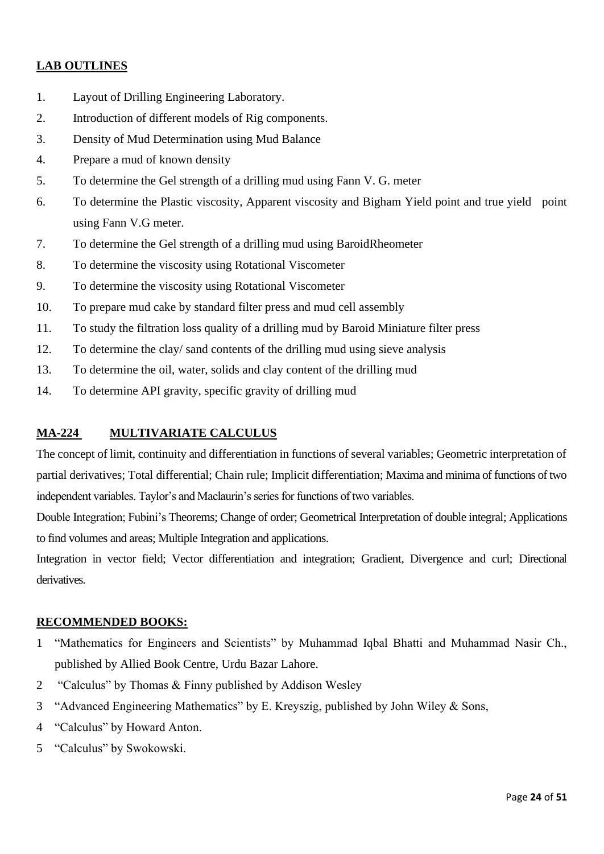# **LAB OUTLINES**

- 1. Layout of Drilling Engineering Laboratory.
- 2. Introduction of different models of Rig components.
- 3. Density of Mud Determination using Mud Balance
- 4. Prepare a mud of known density
- 5. To determine the Gel strength of a drilling mud using Fann V. G. meter
- 6. To determine the Plastic viscosity, Apparent viscosity and Bigham Yield point and true yield point using Fann V.G meter.
- 7. To determine the Gel strength of a drilling mud using BaroidRheometer
- 8. To determine the viscosity using Rotational Viscometer
- 9. To determine the viscosity using Rotational Viscometer
- 10. To prepare mud cake by standard filter press and mud cell assembly
- 11. To study the filtration loss quality of a drilling mud by Baroid Miniature filter press
- 12. To determine the clay/ sand contents of the drilling mud using sieve analysis
- 13. To determine the oil, water, solids and clay content of the drilling mud
- 14. To determine API gravity, specific gravity of drilling mud

## **MA-224 MULTIVARIATE CALCULUS**

The concept of limit, continuity and differentiation in functions of several variables; Geometric interpretation of partial derivatives; Total differential; Chain rule; Implicit differentiation; Maxima and minima of functions of two independent variables. Taylor's and Maclaurin's series for functions of two variables.

Double Integration; Fubini's Theorems; Change of order; Geometrical Interpretation of double integral; Applications to find volumes and areas; Multiple Integration and applications.

Integration in vector field; Vector differentiation and integration; Gradient, Divergence and curl; Directional derivatives.

#### **RECOMMENDED BOOKS:**

- 1 "Mathematics for Engineers and Scientists" by Muhammad Iqbal Bhatti and Muhammad Nasir Ch., published by Allied Book Centre, Urdu Bazar Lahore.
- 2 "Calculus" by Thomas & Finny published by Addison Wesley
- 3 "Advanced Engineering Mathematics" by E. Kreyszig, published by John Wiley & Sons,
- 4 "Calculus" by Howard Anton.
- 5 "Calculus" by Swokowski.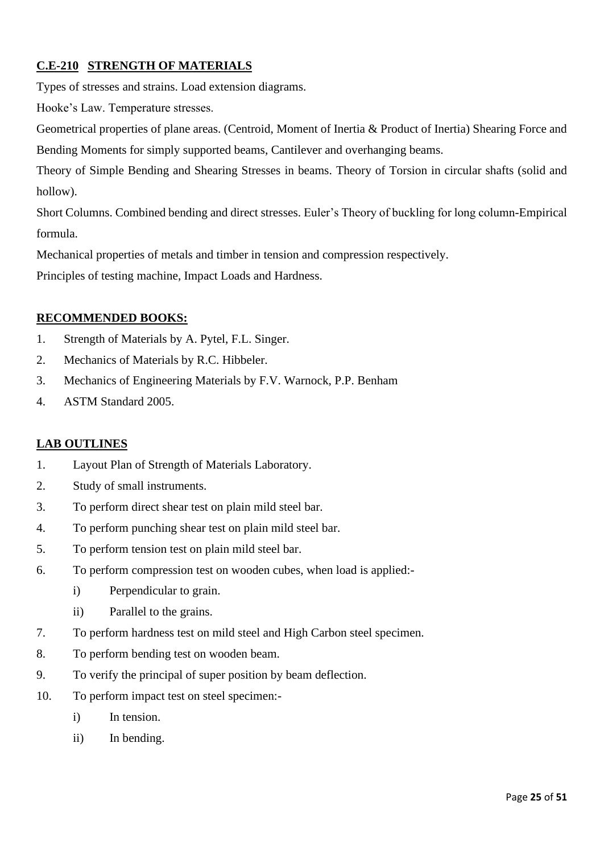# **C.E-210 STRENGTH OF MATERIALS**

Types of stresses and strains. Load extension diagrams.

Hooke's Law. Temperature stresses.

Geometrical properties of plane areas. (Centroid, Moment of Inertia & Product of Inertia) Shearing Force and Bending Moments for simply supported beams, Cantilever and overhanging beams.

Theory of Simple Bending and Shearing Stresses in beams. Theory of Torsion in circular shafts (solid and hollow).

Short Columns. Combined bending and direct stresses. Euler's Theory of buckling for long column-Empirical formula.

Mechanical properties of metals and timber in tension and compression respectively.

Principles of testing machine, Impact Loads and Hardness.

# **RECOMMENDED BOOKS:**

- 1. Strength of Materials by A. Pytel, F.L. Singer.
- 2. Mechanics of Materials by R.C. Hibbeler.
- 3. Mechanics of Engineering Materials by F.V. Warnock, P.P. Benham
- 4. ASTM Standard 2005.

# **LAB OUTLINES**

- 1. Layout Plan of Strength of Materials Laboratory.
- 2. Study of small instruments.
- 3. To perform direct shear test on plain mild steel bar.
- 4. To perform punching shear test on plain mild steel bar.
- 5. To perform tension test on plain mild steel bar.
- 6. To perform compression test on wooden cubes, when load is applied:
	- i) Perpendicular to grain.
	- ii) Parallel to the grains.
- 7. To perform hardness test on mild steel and High Carbon steel specimen.
- 8. To perform bending test on wooden beam.
- 9. To verify the principal of super position by beam deflection.
- 10. To perform impact test on steel specimen:
	- i) In tension.
	- ii) In bending.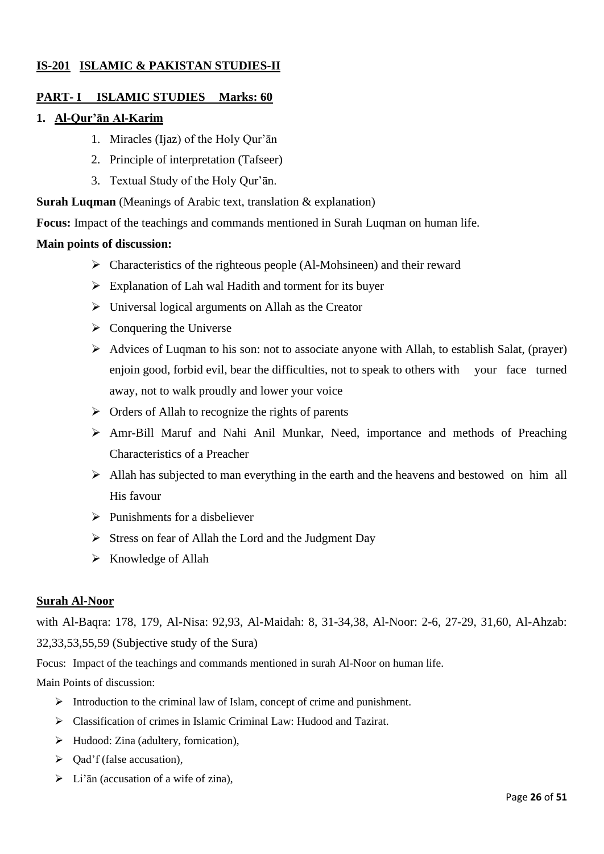# **IS-201 ISLAMIC & PAKISTAN STUDIES-II**

### **PART- I ISLAMIC STUDIES Marks: 60**

#### **1. Al-Qur'ān Al-Karim**

- 1. Miracles (Ijaz) of the Holy Qur'ān
- 2. Principle of interpretation (Tafseer)
- 3. Textual Study of the Holy Qur'ān.

**Surah Luqman** (Meanings of Arabic text, translation & explanation)

**Focus:** Impact of the teachings and commands mentioned in Surah Luqman on human life.

#### **Main points of discussion:**

- ➢ Characteristics of the righteous people (Al-Mohsineen) and their reward
- ➢ Explanation of Lah wal Hadith and torment for its buyer
- $\triangleright$  Universal logical arguments on Allah as the Creator
- $\triangleright$  Conquering the Universe
- ➢ Advices of Luqman to his son: not to associate anyone with Allah, to establish Salat, (prayer) enjoin good, forbid evil, bear the difficulties, not to speak to others with your face turned away, not to walk proudly and lower your voice
- $\triangleright$  Orders of Allah to recognize the rights of parents
- ➢ Amr-Bill Maruf and Nahi Anil Munkar, Need, importance and methods of Preaching Characteristics of a Preacher
- ➢ Allah has subjected to man everything in the earth and the heavens and bestowed on him all His favour
- $\triangleright$  Punishments for a disbeliever
- ➢ Stress on fear of Allah the Lord and the Judgment Day
- ➢ Knowledge of Allah

#### **Surah Al-Noor**

with Al-Baqra: 178, 179, Al-Nisa: 92,93, Al-Maidah: 8, 31-34,38, Al-Noor: 2-6, 27-29, 31,60, Al-Ahzab: 32,33,53,55,59 (Subjective study of the Sura)

Focus: Impact of the teachings and commands mentioned in surah Al-Noor on human life.

Main Points of discussion:

- ➢ Introduction to the criminal law of Islam, concept of crime and punishment.
- ➢ Classification of crimes in Islamic Criminal Law: Hudood and Tazirat.
- ➢ Hudood: Zina (adultery, fornication),
- $\triangleright$  Qad'f (false accusation),
- $\triangleright$  Li'an (accusation of a wife of zina),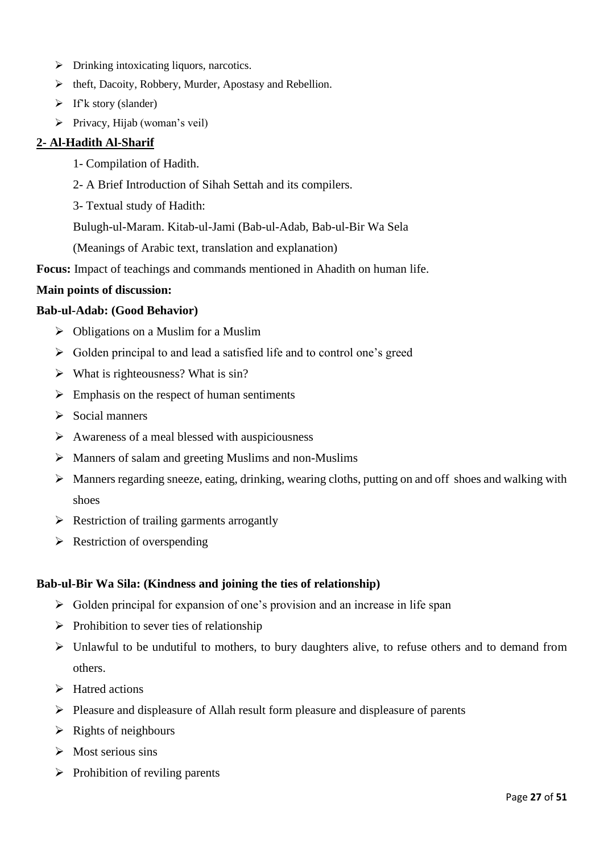- ➢ Drinking intoxicating liquors, narcotics.
- ➢ theft, Dacoity, Robbery, Murder, Apostasy and Rebellion.
- $\triangleright$  If'k story (slander)
- ➢ Privacy, Hijab (woman's veil)

## **2- Al-Hadith Al-Sharif**

- 1- Compilation of Hadith.
- 2- A Brief Introduction of Sihah Settah and its compilers.
- 3- Textual study of Hadith:
- Bulugh-ul-Maram. Kitab-ul-Jami (Bab-ul-Adab, Bab-ul-Bir Wa Sela
- (Meanings of Arabic text, translation and explanation)
- **Focus:** Impact of teachings and commands mentioned in Ahadith on human life.

#### **Main points of discussion:**

#### **Bab-ul-Adab: (Good Behavior)**

- $\triangleright$  Obligations on a Muslim for a Muslim
- ➢ Golden principal to and lead a satisfied life and to control one's greed
- ➢ What is righteousness? What is sin?
- $\triangleright$  Emphasis on the respect of human sentiments
- $\triangleright$  Social manners
- $\triangleright$  Awareness of a meal blessed with auspiciousness
- ➢ Manners of salam and greeting Muslims and non-Muslims
- ➢ Manners regarding sneeze, eating, drinking, wearing cloths, putting on and off shoes and walking with shoes
- ➢ Restriction of trailing garments arrogantly
- $\triangleright$  Restriction of overspending

#### **Bab-ul-Bir Wa Sila: (Kindness and joining the ties of relationship)**

- $\triangleright$  Golden principal for expansion of one's provision and an increase in life span
- $\triangleright$  Prohibition to sever ties of relationship
- ➢ Unlawful to be undutiful to mothers, to bury daughters alive, to refuse others and to demand from others.
- ➢ Hatred actions
- ➢ Pleasure and displeasure of Allah result form pleasure and displeasure of parents
- $\triangleright$  Rights of neighbours
- $\triangleright$  Most serious sins
- $\triangleright$  Prohibition of reviling parents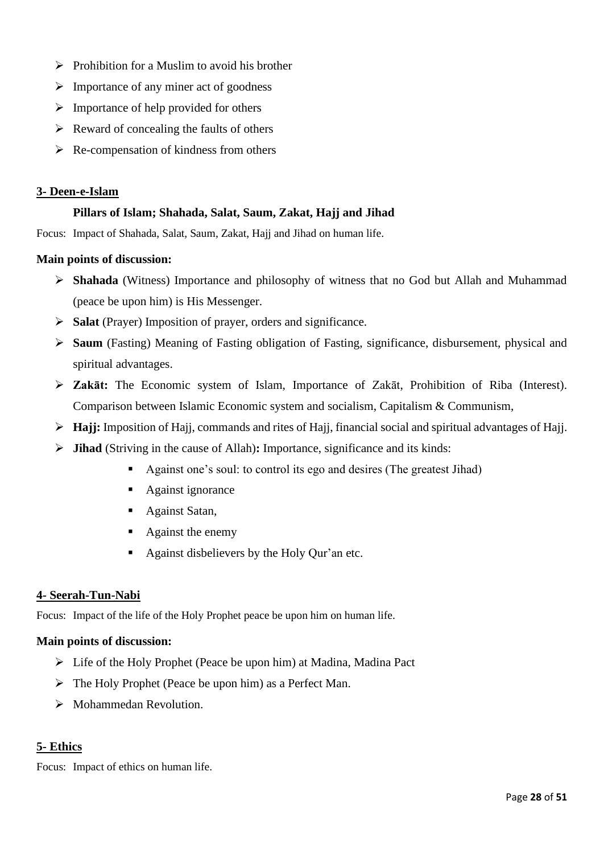- $\triangleright$  Prohibition for a Muslim to avoid his brother
- $\triangleright$  Importance of any miner act of goodness
- $\triangleright$  Importance of help provided for others
- $\triangleright$  Reward of concealing the faults of others
- $\triangleright$  Re-compensation of kindness from others

### **3- Deen-e-Islam**

# **Pillars of Islam; Shahada, Salat, Saum, Zakat, Hajj and Jihad**

Focus: Impact of Shahada, Salat, Saum, Zakat, Hajj and Jihad on human life.

### **Main points of discussion:**

- ➢ **Shahada** (Witness) Importance and philosophy of witness that no God but Allah and Muhammad (peace be upon him) is His Messenger.
- ➢ **Salat** (Prayer) Imposition of prayer, orders and significance.
- ➢ **Saum** (Fasting) Meaning of Fasting obligation of Fasting, significance, disbursement, physical and spiritual advantages.
- ➢ **Zakāt:** The Economic system of Islam, Importance of Zakāt, Prohibition of Riba (Interest). Comparison between Islamic Economic system and socialism, Capitalism & Communism,
- ➢ **Hajj:** Imposition of Hajj, commands and rites of Hajj, financial social and spiritual advantages of Hajj.
- ➢ **Jihad** (Striving in the cause of Allah)**:** Importance, significance and its kinds:
	- Against one's soul: to control its ego and desires (The greatest Jihad)
	- Against ignorance
	- Against Satan,
	- Against the enemy
	- Against disbelievers by the Holy Qur'an etc.

#### **4- Seerah-Tun-Nabi**

Focus: Impact of the life of the Holy Prophet peace be upon him on human life.

#### **Main points of discussion:**

- ➢ Life of the Holy Prophet (Peace be upon him) at Madina, Madina Pact
- ➢ The Holy Prophet (Peace be upon him) as a Perfect Man.
- ➢ Mohammedan Revolution.

# **5- Ethics**

Focus: Impact of ethics on human life.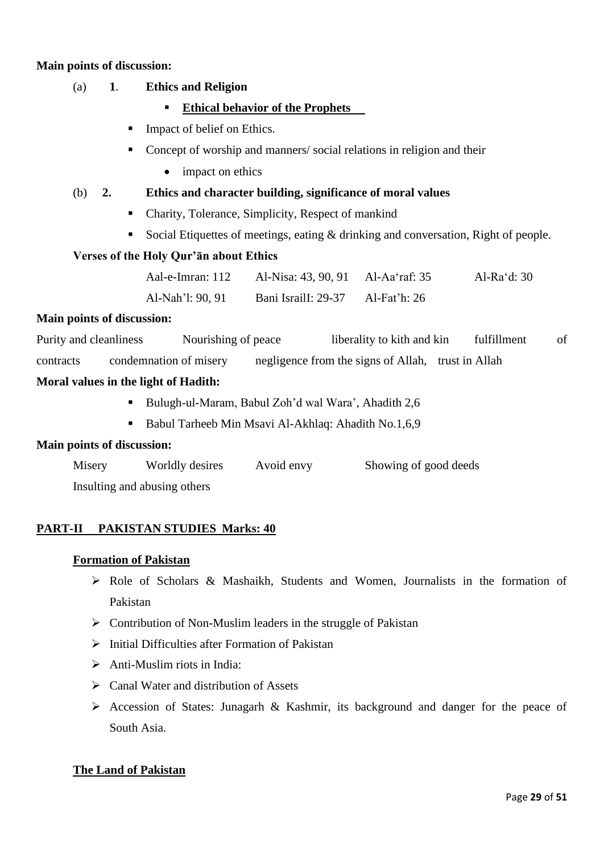#### **Main points of discussion:**

### (a) **1**. **Ethics and Religion**

- **Ethical behavior of the Prophets**
- Impact of belief on Ethics.
- Concept of worship and manners/ social relations in religion and their
	- impact on ethics

#### (b) **2. Ethics and character building, significance of moral values**

- Charity, Tolerance, Simplicity, Respect of mankind
- Social Etiquettes of meetings, eating & drinking and conversation, Right of people.

#### **Verses of the Holy Qur'ān about Ethics**

| Aal-e-Imran: 112 | Al-Nisa: 43, 90, 91 Al-Aa'raf: 35 |              | Al-Ra'd: $30$ |
|------------------|-----------------------------------|--------------|---------------|
| Al-Nah'l: 90, 91 | Bani IsrailI: 29-37               | Al-Fat'h: 26 |               |

#### **Main points of discussion:**

Purity and cleanliness Nourishing of peace liberality to kith and kin fulfillment of

contracts condemnation of misery negligence from the signs of Allah, trust in Allah

#### **Moral values in the light of Hadith:**

- Bulugh-ul-Maram, Babul Zoh'd wal Wara', Ahadith 2,6
- Babul Tarheeb Min Msavi Al-Akhlaq: Ahadith No.1,6,9

#### **Main points of discussion:**

| Misery | Worldly desires              | Avoid envy | Showing of good deeds |
|--------|------------------------------|------------|-----------------------|
|        | Insulting and abusing others |            |                       |

#### **PART-II PAKISTAN STUDIES Marks: 40**

#### **Formation of Pakistan**

- ➢ Role of Scholars & Mashaikh, Students and Women, Journalists in the formation of Pakistan
- $\triangleright$  Contribution of Non-Muslim leaders in the struggle of Pakistan
- ➢ Initial Difficulties after Formation of Pakistan
- $\triangleright$  Anti-Muslim riots in India:
- ➢ Canal Water and distribution of Assets
- ➢ Accession of States: Junagarh & Kashmir, its background and danger for the peace of South Asia.

#### **The Land of Pakistan**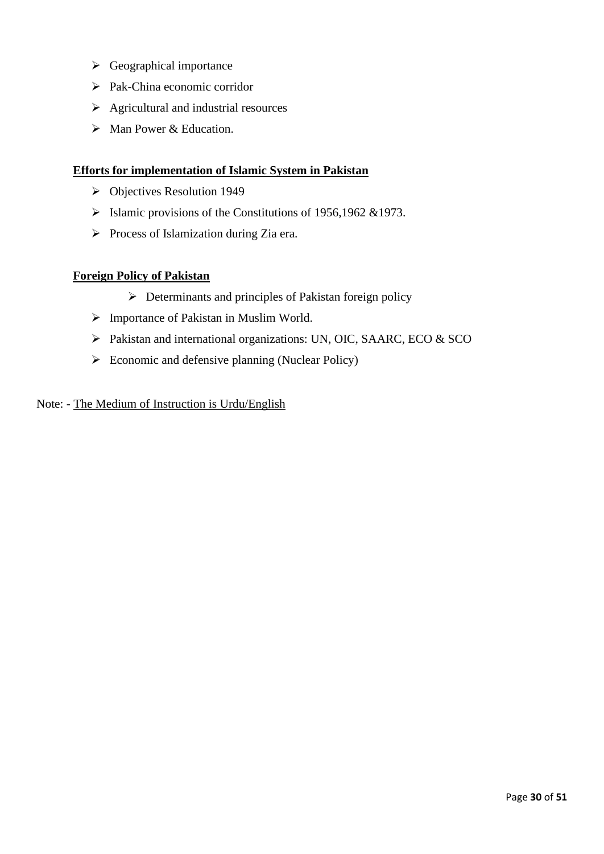- ➢ Geographical importance
- ➢ Pak-China economic corridor
- $\triangleright$  Agricultural and industrial resources
- ➢ Man Power & Education.

#### **Efforts for implementation of Islamic System in Pakistan**

- ➢ Objectives Resolution 1949
- ➢ Islamic provisions of the Constitutions of 1956,1962 &1973.
- ➢ Process of Islamization during Zia era.

#### **Foreign Policy of Pakistan**

- ➢ Determinants and principles of Pakistan foreign policy
- ➢ Importance of Pakistan in Muslim World.
- ➢ Pakistan and international organizations: UN, OIC, SAARC, ECO & SCO
- $\triangleright$  Economic and defensive planning (Nuclear Policy)

#### Note: - The Medium of Instruction is Urdu/English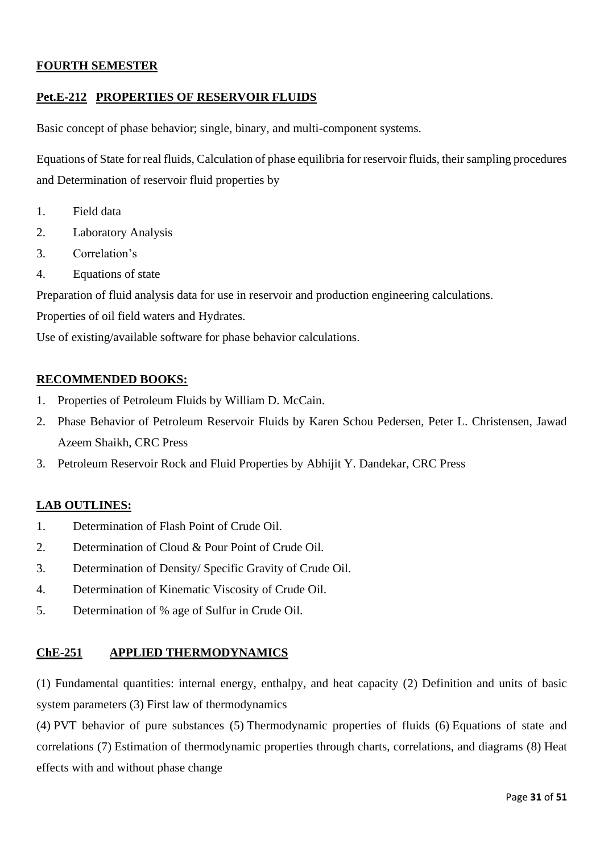### **FOURTH SEMESTER**

### **Pet.E-212 PROPERTIES OF RESERVOIR FLUIDS**

Basic concept of phase behavior; single, binary, and multi-component systems.

Equations of State for real fluids, Calculation of phase equilibria for reservoir fluids, their sampling procedures and Determination of reservoir fluid properties by

- 1. Field data
- 2. Laboratory Analysis
- 3. Correlation's
- 4. Equations of state

Preparation of fluid analysis data for use in reservoir and production engineering calculations.

Properties of oil field waters and Hydrates.

Use of existing/available software for phase behavior calculations.

### **RECOMMENDED BOOKS:**

- 1. Properties of Petroleum Fluids by William D. McCain.
- 2. Phase Behavior of Petroleum Reservoir Fluids by Karen Schou Pedersen, Peter L. Christensen, Jawad Azeem Shaikh, CRC Press
- 3. Petroleum Reservoir Rock and Fluid Properties by Abhijit Y. Dandekar, CRC Press

#### **LAB OUTLINES:**

- 1. Determination of Flash Point of Crude Oil.
- 2. Determination of Cloud & Pour Point of Crude Oil.
- 3. Determination of Density/ Specific Gravity of Crude Oil.
- 4. Determination of Kinematic Viscosity of Crude Oil.
- 5. Determination of % age of Sulfur in Crude Oil.

#### **ChE-251 APPLIED THERMODYNAMICS**

(1) Fundamental quantities: internal energy, enthalpy, and heat capacity (2) Definition and units of basic system parameters (3) First law of thermodynamics

(4) PVT behavior of pure substances (5) Thermodynamic properties of fluids (6) Equations of state and correlations (7) Estimation of thermodynamic properties through charts, correlations, and diagrams (8) Heat effects with and without phase change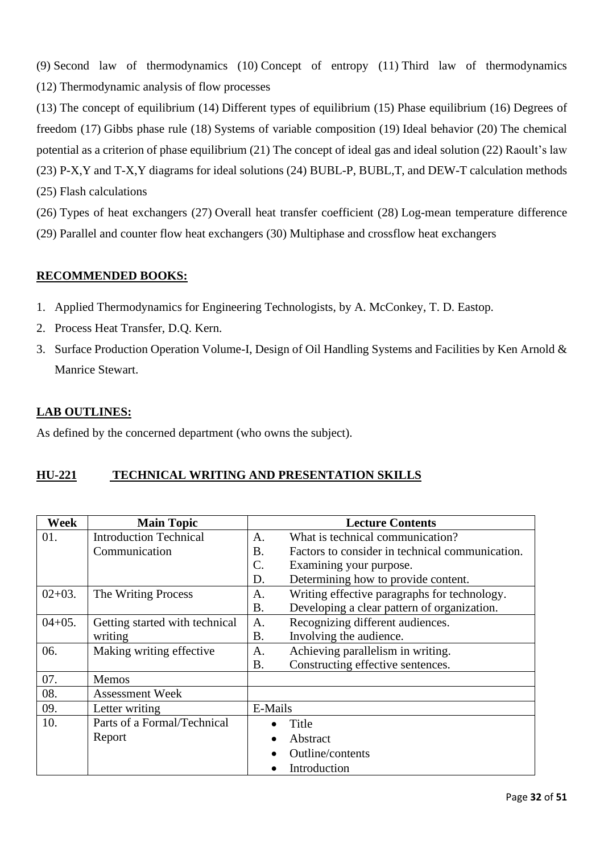(9) Second law of thermodynamics (10) Concept of entropy (11) Third law of thermodynamics (12) Thermodynamic analysis of flow processes

(13) The concept of equilibrium (14) Different types of equilibrium (15) Phase equilibrium (16) Degrees of freedom (17) Gibbs phase rule (18) Systems of variable composition (19) Ideal behavior (20) The chemical potential as a criterion of phase equilibrium (21) The concept of ideal gas and ideal solution (22) Raoult's law (23) P-X,Y and T-X,Y diagrams for ideal solutions (24) BUBL-P, BUBL,T, and DEW-T calculation methods (25) Flash calculations

(26) Types of heat exchangers (27) Overall heat transfer coefficient (28) Log-mean temperature difference (29) Parallel and counter flow heat exchangers (30) Multiphase and crossflow heat exchangers

# **RECOMMENDED BOOKS:**

- 1. Applied Thermodynamics for Engineering Technologists, by A. McConkey, T. D. Eastop.
- 2. Process Heat Transfer, D.Q. Kern.
- 3. Surface Production Operation Volume-I, Design of Oil Handling Systems and Facilities by Ken Arnold & Manrice Stewart.

# **LAB OUTLINES:**

As defined by the concerned department (who owns the subject).

# **HU-221 TECHNICAL WRITING AND PRESENTATION SKILLS**

| <b>Week</b> | <b>Main Topic</b>              |                  | <b>Lecture Contents</b>                         |
|-------------|--------------------------------|------------------|-------------------------------------------------|
| 01.         | <b>Introduction Technical</b>  | A.               | What is technical communication?                |
|             | Communication                  | Β.               | Factors to consider in technical communication. |
|             |                                | $\overline{C}$ . | Examining your purpose.                         |
|             |                                | D.               | Determining how to provide content.             |
| $02+03.$    | The Writing Process            | A.               | Writing effective paragraphs for technology.    |
|             |                                | <b>B.</b>        | Developing a clear pattern of organization.     |
| $04+05.$    | Getting started with technical | A.               | Recognizing different audiences.                |
|             | writing                        | Β.               | Involving the audience.                         |
| 06.         | Making writing effective       | A.               | Achieving parallelism in writing.               |
|             |                                | Β.               | Constructing effective sentences.               |
| 07.         | Memos                          |                  |                                                 |
| 08.         | <b>Assessment Week</b>         |                  |                                                 |
| 09.         | Letter writing                 | E-Mails          |                                                 |
| 10.         | Parts of a Formal/Technical    |                  | Title                                           |
|             | Report                         | $\bullet$        | Abstract                                        |
|             |                                |                  | Outline/contents                                |
|             |                                |                  | Introduction                                    |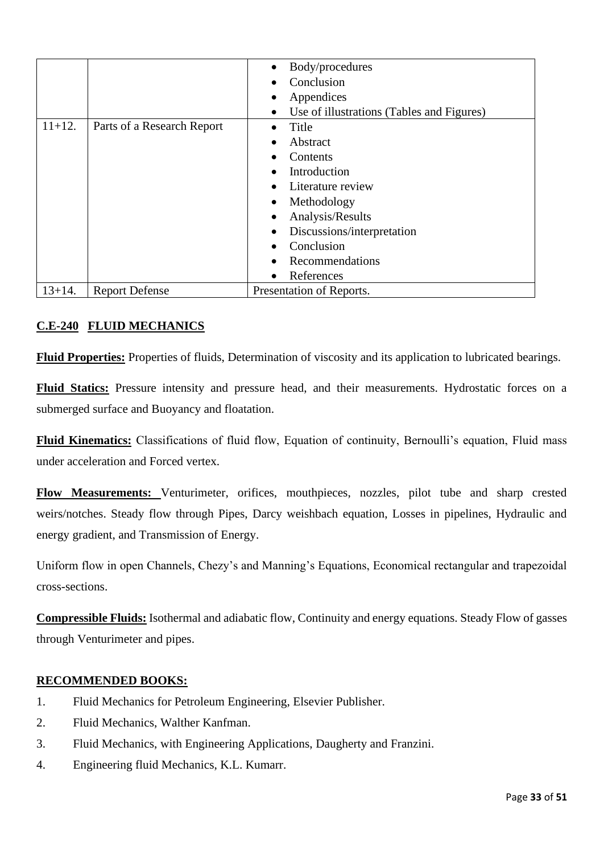|             |                            | Body/procedures<br>$\bullet$                           |
|-------------|----------------------------|--------------------------------------------------------|
|             |                            | Conclusion                                             |
|             |                            | Appendices<br>٠                                        |
|             |                            | Use of illustrations (Tables and Figures)<br>$\bullet$ |
| $11+12.$    | Parts of a Research Report | Title                                                  |
|             |                            | Abstract<br>$\bullet$                                  |
|             |                            | Contents                                               |
|             |                            | Introduction                                           |
|             |                            | Literature review                                      |
|             |                            | Methodology<br>٠                                       |
|             |                            | Analysis/Results<br>$\bullet$                          |
|             |                            | Discussions/interpretation<br>٠                        |
|             |                            | Conclusion                                             |
|             |                            | Recommendations                                        |
|             |                            | References<br>$\bullet$                                |
| $13 + 14$ . | <b>Report Defense</b>      | Presentation of Reports.                               |

# **C.E-240 FLUID MECHANICS**

**Fluid Properties:** Properties of fluids, Determination of viscosity and its application to lubricated bearings.

**Fluid Statics:** Pressure intensity and pressure head, and their measurements. Hydrostatic forces on a submerged surface and Buoyancy and floatation.

**Fluid Kinematics:** Classifications of fluid flow, Equation of continuity, Bernoulli's equation, Fluid mass under acceleration and Forced vertex.

**Flow Measurements:** Venturimeter, orifices, mouthpieces, nozzles, pilot tube and sharp crested weirs/notches. Steady flow through Pipes, Darcy weishbach equation, Losses in pipelines, Hydraulic and energy gradient, and Transmission of Energy.

Uniform flow in open Channels, Chezy's and Manning's Equations, Economical rectangular and trapezoidal cross-sections.

**Compressible Fluids:** Isothermal and adiabatic flow, Continuity and energy equations. Steady Flow of gasses through Venturimeter and pipes.

# **RECOMMENDED BOOKS:**

- 1. Fluid Mechanics for Petroleum Engineering, Elsevier Publisher.
- 2. Fluid Mechanics, Walther Kanfman.
- 3. Fluid Mechanics, with Engineering Applications, Daugherty and Franzini.
- 4. Engineering fluid Mechanics, K.L. Kumarr.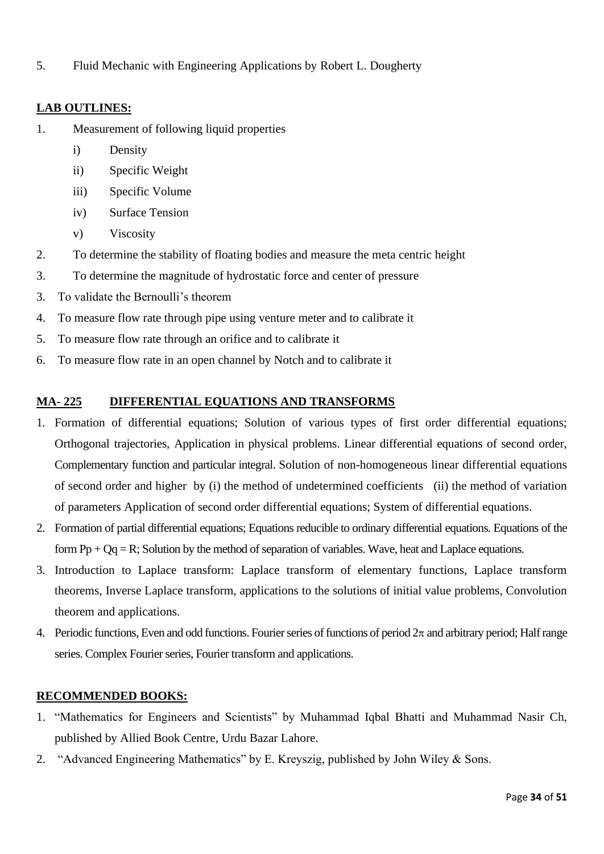5. Fluid Mechanic with Engineering Applications by Robert L. Dougherty

# **LAB OUTLINES:**

- 1. Measurement of following liquid properties
	- i) Density
	- ii) Specific Weight
	- iii) Specific Volume
	- iv) Surface Tension
	- v) Viscosity
- 2. To determine the stability of floating bodies and measure the meta centric height
- 3. To determine the magnitude of hydrostatic force and center of pressure
- 3. To validate the Bernoulli's theorem
- 4. To measure flow rate through pipe using venture meter and to calibrate it
- 5. To measure flow rate through an orifice and to calibrate it
- 6. To measure flow rate in an open channel by Notch and to calibrate it

# **MA- 225 DIFFERENTIAL EQUATIONS AND TRANSFORMS**

- 1. Formation of differential equations; Solution of various types of first order differential equations; Orthogonal trajectories, Application in physical problems. Linear differential equations of second order, Complementary function and particular integral. Solution of non-homogeneous linear differential equations of second order and higher by (i) the method of undetermined coefficients (ii) the method of variation of parameters Application of second order differential equations; System of differential equations.
- 2. Formation of partial differential equations; Equations reducible to ordinary differential equations. Equations of the form  $Pp + Qq = R$ ; Solution by the method of separation of variables. Wave, heat and Laplace equations.
- 3. Introduction to Laplace transform: Laplace transform of elementary functions, Laplace transform theorems, Inverse Laplace transform, applications to the solutions of initial value problems, Convolution theorem and applications.
- 4. Periodic functions, Even and odd functions. Fourier series of functions of period  $2\pi$  and arbitrary period; Half range series. Complex Fourier series, Fourier transform and applications.

# **RECOMMENDED BOOKS:**

- 1. "Mathematics for Engineers and Scientists" by Muhammad Iqbal Bhatti and Muhammad Nasir Ch, published by Allied Book Centre, Urdu Bazar Lahore.
- 2. "Advanced Engineering Mathematics" by E. Kreyszig, published by John Wiley & Sons.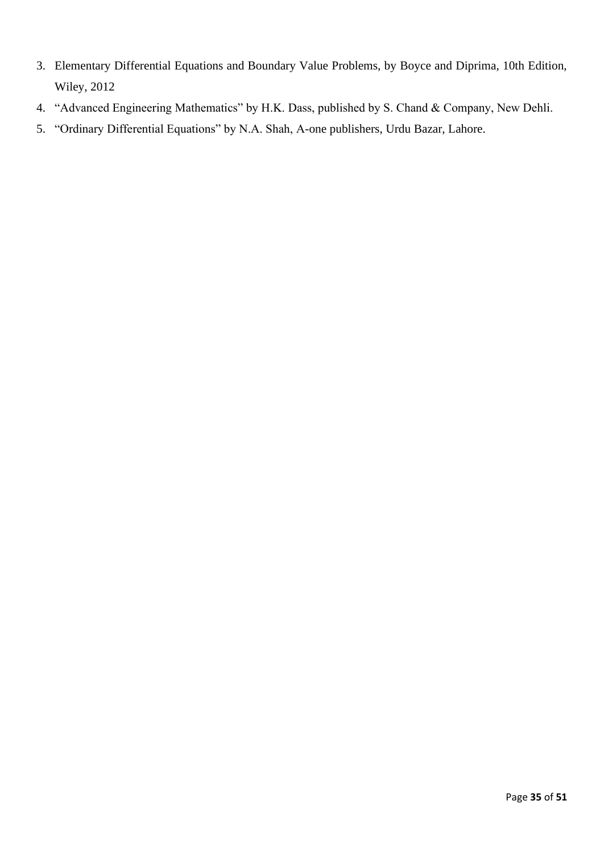- 3. Elementary Differential Equations and Boundary Value Problems, by Boyce and Diprima, 10th Edition, Wiley, 2012
- 4. "Advanced Engineering Mathematics" by H.K. Dass, published by S. Chand & Company, New Dehli.
- 5. "Ordinary Differential Equations" by N.A. Shah, A-one publishers, Urdu Bazar, Lahore.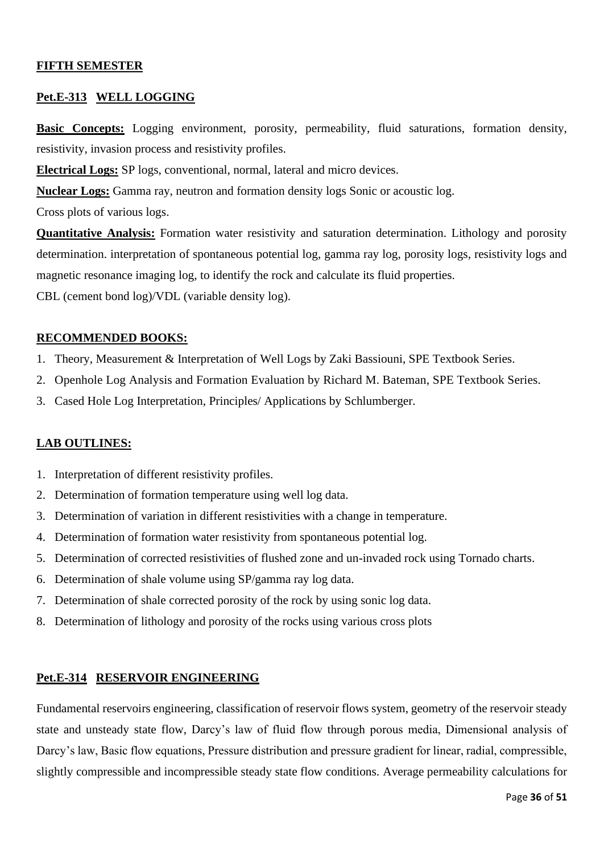## **FIFTH SEMESTER**

#### **Pet.E-313 WELL LOGGING**

**Basic Concepts:** Logging environment, porosity, permeability, fluid saturations, formation density, resistivity, invasion process and resistivity profiles.

**Electrical Logs:** SP logs, conventional, normal, lateral and micro devices.

**Nuclear Logs:** Gamma ray, neutron and formation density logs Sonic or acoustic log.

Cross plots of various logs.

**Quantitative Analysis:** Formation water resistivity and saturation determination. Lithology and porosity determination. interpretation of spontaneous potential log, gamma ray log, porosity logs, resistivity logs and magnetic resonance imaging log, to identify the rock and calculate its fluid properties. CBL (cement bond log)/VDL (variable density log).

#### **RECOMMENDED BOOKS:**

- 1. Theory, Measurement & Interpretation of Well Logs by Zaki Bassiouni, SPE Textbook Series.
- 2. Openhole Log Analysis and Formation Evaluation by Richard M. Bateman, SPE Textbook Series.
- 3. Cased Hole Log Interpretation, Principles/ Applications by Schlumberger.

#### **LAB OUTLINES:**

- 1. Interpretation of different resistivity profiles.
- 2. Determination of formation temperature using well log data.
- 3. Determination of variation in different resistivities with a change in temperature.
- 4. Determination of formation water resistivity from spontaneous potential log.
- 5. Determination of corrected resistivities of flushed zone and un-invaded rock using Tornado charts.
- 6. Determination of shale volume using SP/gamma ray log data.
- 7. Determination of shale corrected porosity of the rock by using sonic log data.
- 8. Determination of lithology and porosity of the rocks using various cross plots

#### **Pet.E-314 RESERVOIR ENGINEERING**

Fundamental reservoirs engineering, classification of reservoir flows system, geometry of the reservoir steady state and unsteady state flow, Darcy's law of fluid flow through porous media, Dimensional analysis of Darcy's law, Basic flow equations, Pressure distribution and pressure gradient for linear, radial, compressible, slightly compressible and incompressible steady state flow conditions. Average permeability calculations for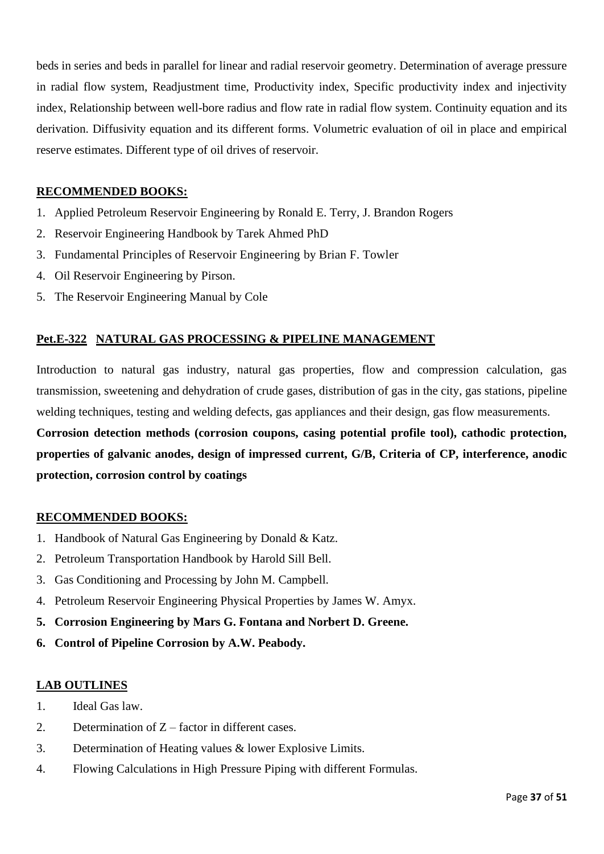beds in series and beds in parallel for linear and radial reservoir geometry. Determination of average pressure in radial flow system, Readjustment time, Productivity index, Specific productivity index and injectivity index, Relationship between well-bore radius and flow rate in radial flow system. Continuity equation and its derivation. Diffusivity equation and its different forms. Volumetric evaluation of oil in place and empirical reserve estimates. Different type of oil drives of reservoir.

# **RECOMMENDED BOOKS:**

- 1. Applied Petroleum Reservoir Engineering by Ronald E. Terry, J. Brandon Rogers
- 2. Reservoir Engineering Handbook by Tarek Ahmed PhD
- 3. Fundamental Principles of Reservoir Engineering by Brian F. Towler
- 4. Oil Reservoir Engineering by Pirson.
- 5. The Reservoir Engineering Manual by Cole

# **Pet.E-322 NATURAL GAS PROCESSING & PIPELINE MANAGEMENT**

Introduction to natural gas industry, natural gas properties, flow and compression calculation, gas transmission, sweetening and dehydration of crude gases, distribution of gas in the city, gas stations, pipeline welding techniques, testing and welding defects, gas appliances and their design, gas flow measurements.

**Corrosion detection methods (corrosion coupons, casing potential profile tool), cathodic protection, properties of galvanic anodes, design of impressed current, G/B, Criteria of CP, interference, anodic protection, corrosion control by coatings**

# **RECOMMENDED BOOKS:**

- 1. Handbook of Natural Gas Engineering by Donald & Katz.
- 2. Petroleum Transportation Handbook by Harold Sill Bell.
- 3. Gas Conditioning and Processing by John M. Campbell.
- 4. Petroleum Reservoir Engineering Physical Properties by James W. Amyx.
- **5. Corrosion Engineering by Mars G. Fontana and Norbert D. Greene.**
- **6. Control of Pipeline Corrosion by A.W. Peabody.**

# **LAB OUTLINES**

- 1. Ideal Gas law.
- 2. Determination of Z factor in different cases.
- 3. Determination of Heating values & lower Explosive Limits.
- 4. Flowing Calculations in High Pressure Piping with different Formulas.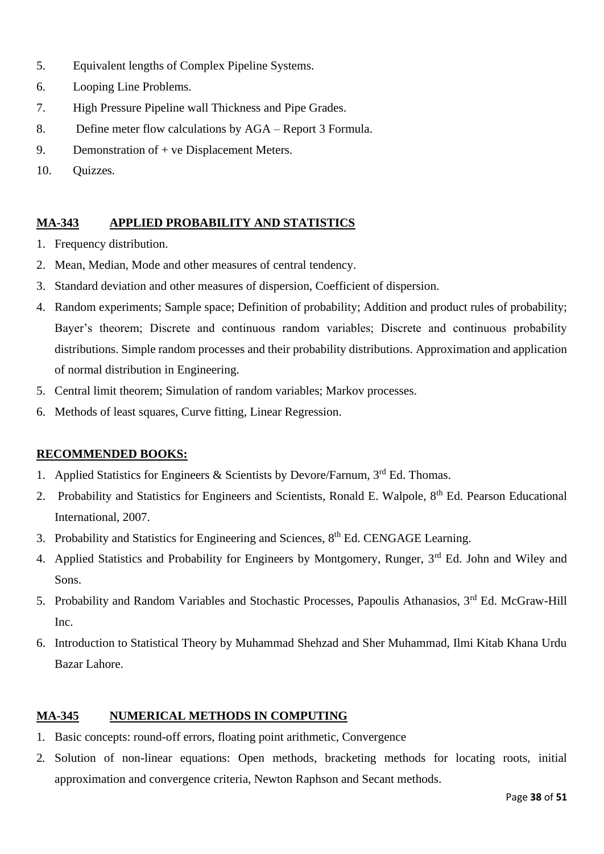- 5. Equivalent lengths of Complex Pipeline Systems.
- 6. Looping Line Problems.
- 7. High Pressure Pipeline wall Thickness and Pipe Grades.
- 8. Define meter flow calculations by AGA Report 3 Formula.
- 9. Demonstration of + ve Displacement Meters.
- 10. Quizzes.

# **MA-343 APPLIED PROBABILITY AND STATISTICS**

- 1. Frequency distribution.
- 2. Mean, Median, Mode and other measures of central tendency.
- 3. Standard deviation and other measures of dispersion, Coefficient of dispersion.
- 4. Random experiments; Sample space; Definition of probability; Addition and product rules of probability; Bayer's theorem; Discrete and continuous random variables; Discrete and continuous probability distributions. Simple random processes and their probability distributions. Approximation and application of normal distribution in Engineering.
- 5. Central limit theorem; Simulation of random variables; Markov processes.
- 6. Methods of least squares, Curve fitting, Linear Regression.

# **RECOMMENDED BOOKS:**

- 1. Applied Statistics for Engineers & Scientists by Devore/Farnum, 3rd Ed. Thomas.
- 2. Probability and Statistics for Engineers and Scientists, Ronald E. Walpole, 8<sup>th</sup> Ed. Pearson Educational International, 2007.
- 3. Probability and Statistics for Engineering and Sciences, 8<sup>th</sup> Ed. CENGAGE Learning.
- 4. Applied Statistics and Probability for Engineers by Montgomery, Runger, 3<sup>rd</sup> Ed. John and Wiley and Sons.
- 5. Probability and Random Variables and Stochastic Processes, Papoulis Athanasios, 3rd Ed. McGraw-Hill Inc.
- 6. Introduction to Statistical Theory by Muhammad Shehzad and Sher Muhammad, Ilmi Kitab Khana Urdu Bazar Lahore.

# **MA-345 NUMERICAL METHODS IN COMPUTING**

- 1. Basic concepts: round-off errors, floating point arithmetic, Convergence
- 2. Solution of non-linear equations: Open methods, bracketing methods for locating roots, initial approximation and convergence criteria, Newton Raphson and Secant methods.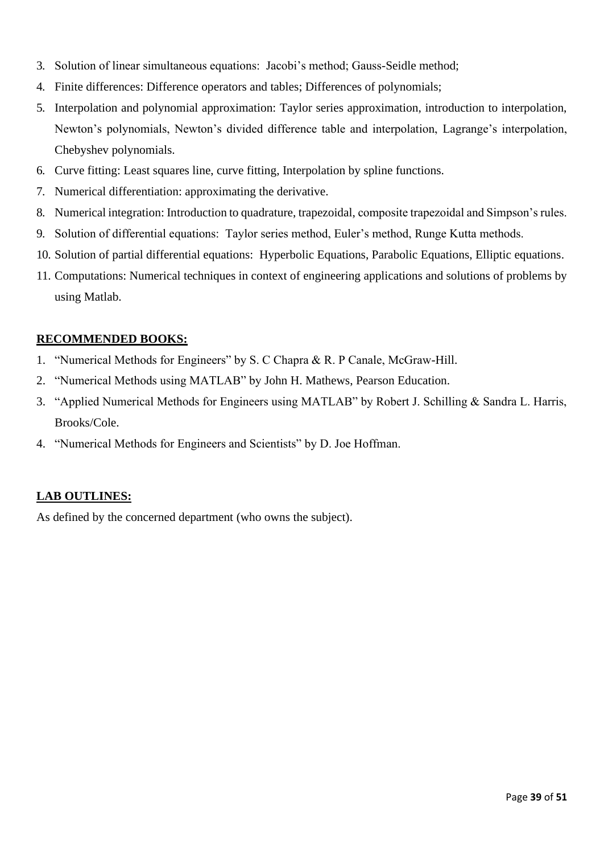- 3. Solution of linear simultaneous equations: Jacobi's method; Gauss-Seidle method;
- 4. Finite differences: Difference operators and tables; Differences of polynomials;
- 5. Interpolation and polynomial approximation: Taylor series approximation, introduction to interpolation, Newton's polynomials, Newton's divided difference table and interpolation, Lagrange's interpolation, Chebyshev polynomials.
- 6. Curve fitting: Least squares line, curve fitting, Interpolation by spline functions.
- 7. Numerical differentiation: approximating the derivative.
- 8. Numerical integration: Introduction to quadrature, trapezoidal, composite trapezoidal and Simpson's rules.
- 9. Solution of differential equations: Taylor series method, Euler's method, Runge Kutta methods.
- 10. Solution of partial differential equations: Hyperbolic Equations, Parabolic Equations, Elliptic equations.
- 11. Computations: Numerical techniques in context of engineering applications and solutions of problems by using Matlab.

#### **RECOMMENDED BOOKS:**

- 1. "Numerical Methods for Engineers" by S. C Chapra & R. P Canale, McGraw-Hill.
- 2. "Numerical Methods using MATLAB" by John H. Mathews, Pearson Education.
- 3. "Applied Numerical Methods for Engineers using MATLAB" by Robert J. Schilling & Sandra L. Harris, Brooks/Cole.
- 4. "Numerical Methods for Engineers and Scientists" by D. Joe Hoffman.

#### **LAB OUTLINES:**

As defined by the concerned department (who owns the subject).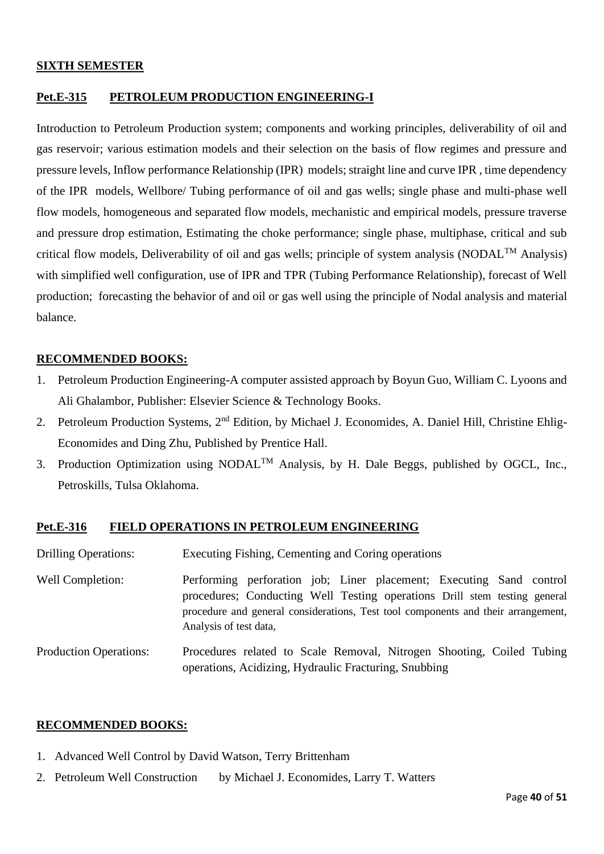#### **SIXTH SEMESTER**

# **Pet.E-315 PETROLEUM PRODUCTION ENGINEERING-I**

Introduction to Petroleum Production system; components and working principles, deliverability of oil and gas reservoir; various estimation models and their selection on the basis of flow regimes and pressure and pressure levels, Inflow performance Relationship (IPR) models; straight line and curve IPR , time dependency of the IPR models, Wellbore/ Tubing performance of oil and gas wells; single phase and multi-phase well flow models, homogeneous and separated flow models, mechanistic and empirical models, pressure traverse and pressure drop estimation, Estimating the choke performance; single phase, multiphase, critical and sub critical flow models, Deliverability of oil and gas wells; principle of system analysis (NODAL<sup>TM</sup> Analysis) with simplified well configuration, use of IPR and TPR (Tubing Performance Relationship), forecast of Well production; forecasting the behavior of and oil or gas well using the principle of Nodal analysis and material balance.

# **RECOMMENDED BOOKS:**

- 1. Petroleum Production Engineering-A computer assisted approach by Boyun Guo, William C. Lyoons and Ali Ghalambor, Publisher: Elsevier Science & Technology Books.
- 2. Petroleum Production Systems, 2<sup>nd</sup> Edition, by Michael J. Economides, A. Daniel Hill, Christine Ehlig-Economides and Ding Zhu, Published by Prentice Hall.
- 3. Production Optimization using NODAL<sup>TM</sup> Analysis, by H. Dale Beggs, published by OGCL, Inc., Petroskills, Tulsa Oklahoma.

# **Pet.E-316 FIELD OPERATIONS IN PETROLEUM ENGINEERING**

| <b>Drilling Operations:</b>   | Executing Fishing, Cementing and Coring operations                                                                                                                                                                                                              |
|-------------------------------|-----------------------------------------------------------------------------------------------------------------------------------------------------------------------------------------------------------------------------------------------------------------|
| Well Completion:              | Performing perforation job; Liner placement; Executing Sand control<br>procedures; Conducting Well Testing operations Drill stem testing general<br>procedure and general considerations, Test tool components and their arrangement,<br>Analysis of test data, |
| <b>Production Operations:</b> | Procedures related to Scale Removal, Nitrogen Shooting, Coiled Tubing<br>operations, Acidizing, Hydraulic Fracturing, Snubbing                                                                                                                                  |

#### **RECOMMENDED BOOKS:**

- 1. Advanced Well Control by David Watson, Terry Brittenham
- 2. Petroleum Well Construction by Michael J. Economides, Larry T. Watters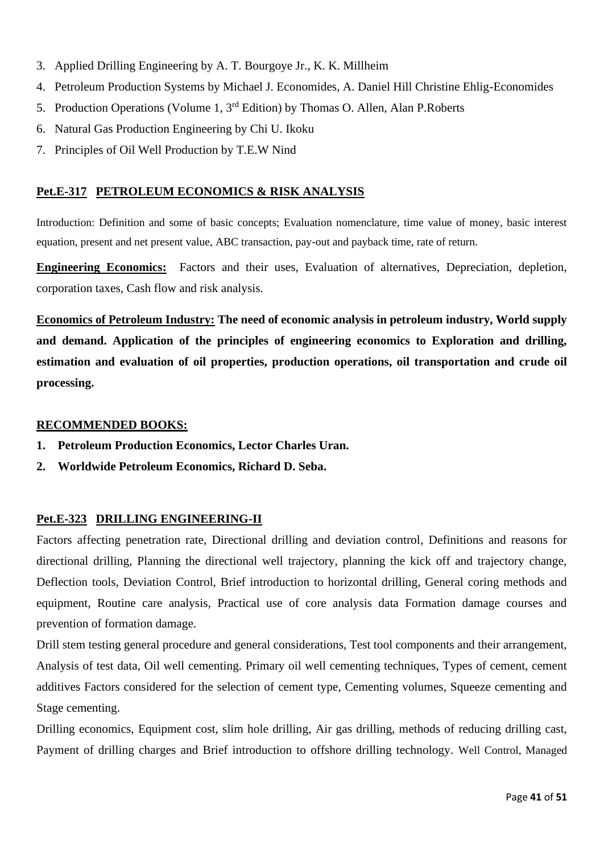- 3. Applied Drilling Engineering by A. T. Bourgoye Jr., K. K. Millheim
- 4. Petroleum Production Systems by Michael J. Economides, A. Daniel Hill Christine Ehlig-Economides
- 5. Production Operations (Volume 1, 3rd Edition) by Thomas O. Allen, Alan P.Roberts
- 6. Natural Gas Production Engineering by Chi U. Ikoku
- 7. Principles of Oil Well Production by T.E.W Nind

### **Pet.E-317 PETROLEUM ECONOMICS & RISK ANALYSIS**

Introduction: Definition and some of basic concepts; Evaluation nomenclature, time value of money, basic interest equation, present and net present value, ABC transaction, pay-out and payback time, rate of return.

**Engineering Economics:** Factors and their uses, Evaluation of alternatives, Depreciation, depletion, corporation taxes, Cash flow and risk analysis.

**Economics of Petroleum Industry: The need of economic analysis in petroleum industry, World supply and demand. Application of the principles of engineering economics to Exploration and drilling, estimation and evaluation of oil properties, production operations, oil transportation and crude oil processing.**

#### **RECOMMENDED BOOKS:**

- **1. Petroleum Production Economics, Lector Charles Uran.**
- **2. Worldwide Petroleum Economics, Richard D. Seba.**

#### **Pet.E-323 DRILLING ENGINEERING-II**

Factors affecting penetration rate, Directional drilling and deviation control, Definitions and reasons for directional drilling, Planning the directional well trajectory, planning the kick off and trajectory change, Deflection tools, Deviation Control, Brief introduction to horizontal drilling, General coring methods and equipment, Routine care analysis, Practical use of core analysis data Formation damage courses and prevention of formation damage.

Drill stem testing general procedure and general considerations, Test tool components and their arrangement, Analysis of test data, Oil well cementing. Primary oil well cementing techniques, Types of cement, cement additives Factors considered for the selection of cement type, Cementing volumes, Squeeze cementing and Stage cementing.

Drilling economics, Equipment cost, slim hole drilling, Air gas drilling, methods of reducing drilling cast, Payment of drilling charges and Brief introduction to offshore drilling technology. Well Control, Managed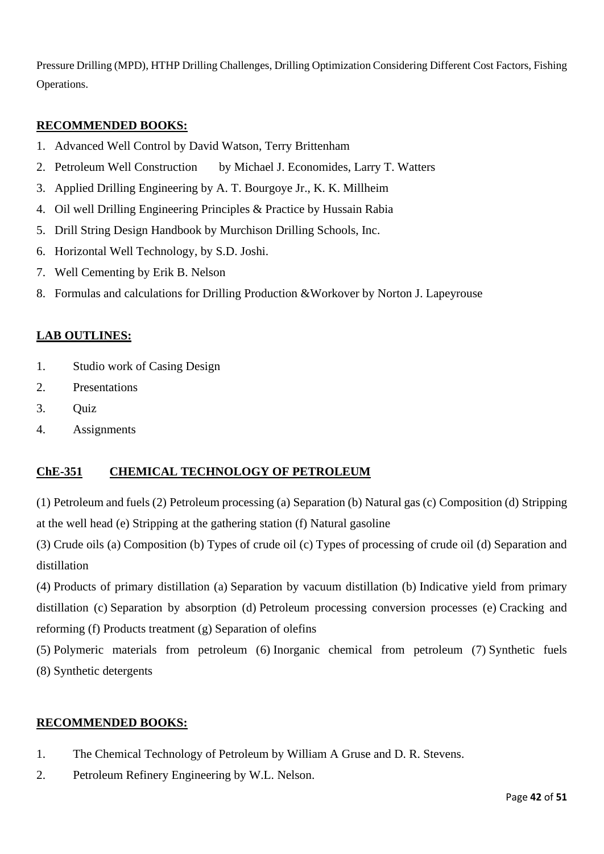Pressure Drilling (MPD), HTHP Drilling Challenges, Drilling Optimization Considering Different Cost Factors, Fishing Operations.

# **RECOMMENDED BOOKS:**

- 1. Advanced Well Control by David Watson, Terry Brittenham
- 2. Petroleum Well Construction by Michael J. Economides, Larry T. Watters
- 3. Applied Drilling Engineering by A. T. Bourgoye Jr., K. K. Millheim
- 4. Oil well Drilling Engineering Principles & Practice by Hussain Rabia
- 5. Drill String Design Handbook by Murchison Drilling Schools, Inc.
- 6. Horizontal Well Technology, by S.D. Joshi.
- 7. Well Cementing by Erik B. Nelson
- 8. Formulas and calculations for Drilling Production &Workover by Norton J. Lapeyrouse

### **LAB OUTLINES:**

- 1. Studio work of Casing Design
- 2. Presentations
- 3. Quiz
- 4. Assignments

# **ChE-351 CHEMICAL TECHNOLOGY OF PETROLEUM**

(1) Petroleum and fuels (2) Petroleum processing (a) Separation (b) Natural gas (c) Composition (d) Stripping at the well head (e) Stripping at the gathering station (f) Natural gasoline

(3) Crude oils (a) Composition (b) Types of crude oil (c) Types of processing of crude oil (d) Separation and distillation

(4) Products of primary distillation (a) Separation by vacuum distillation (b) Indicative yield from primary distillation (c) Separation by absorption (d) Petroleum processing conversion processes (e) Cracking and reforming (f) Products treatment (g) Separation of olefins

(5) Polymeric materials from petroleum (6) Inorganic chemical from petroleum (7) Synthetic fuels (8) Synthetic detergents

#### **RECOMMENDED BOOKS:**

- 1. The Chemical Technology of Petroleum by William A Gruse and D. R. Stevens.
- 2. Petroleum Refinery Engineering by W.L. Nelson.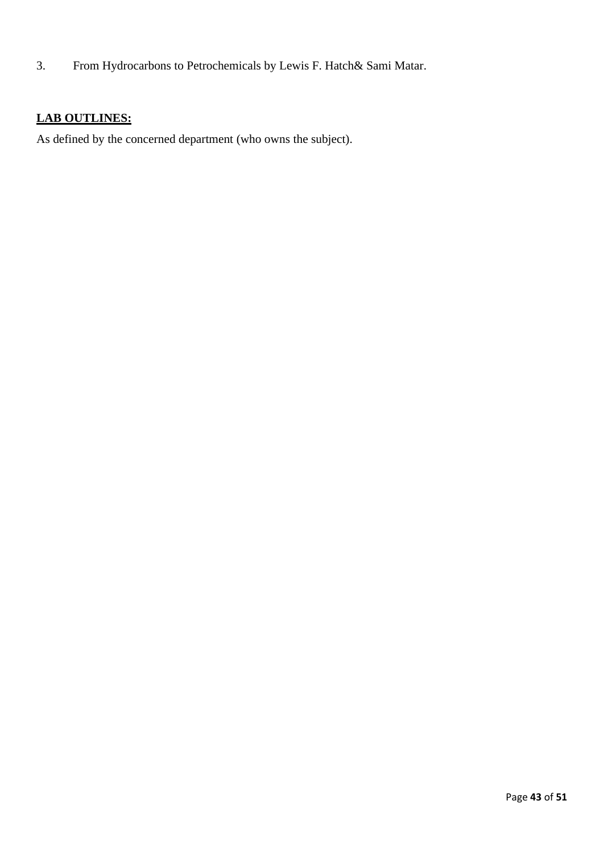3. From Hydrocarbons to Petrochemicals by Lewis F. Hatch& Sami Matar.

# **LAB OUTLINES:**

As defined by the concerned department (who owns the subject).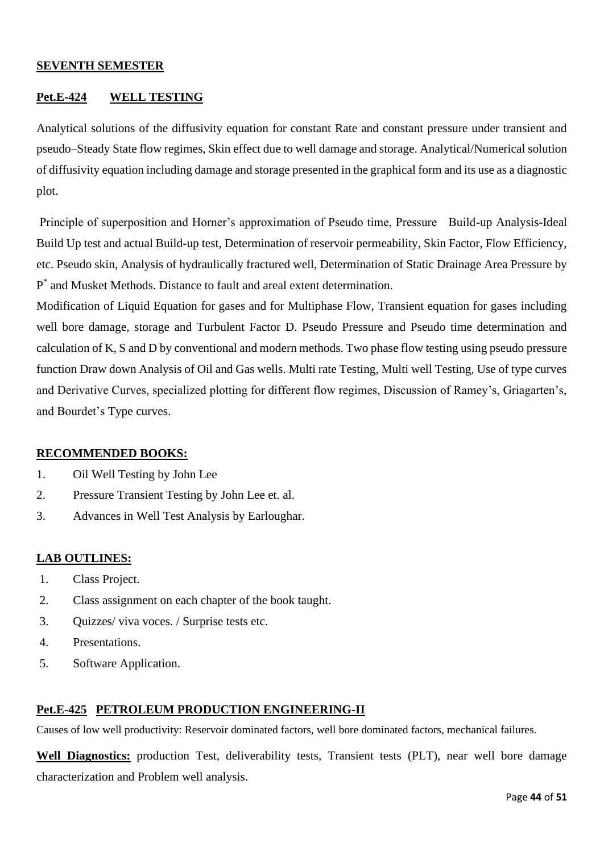#### **SEVENTH SEMESTER**

# **Pet.E-424 WELL TESTING**

Analytical solutions of the diffusivity equation for constant Rate and constant pressure under transient and pseudo–Steady State flow regimes, Skin effect due to well damage and storage. Analytical/Numerical solution of diffusivity equation including damage and storage presented in the graphical form and its use as a diagnostic plot.

Principle of superposition and Horner's approximation of Pseudo time, Pressure Build-up Analysis-Ideal Build Up test and actual Build-up test, Determination of reservoir permeability, Skin Factor, Flow Efficiency, etc. Pseudo skin, Analysis of hydraulically fractured well, Determination of Static Drainage Area Pressure by P \* and Musket Methods. Distance to fault and areal extent determination.

Modification of Liquid Equation for gases and for Multiphase Flow, Transient equation for gases including well bore damage, storage and Turbulent Factor D. Pseudo Pressure and Pseudo time determination and calculation of K, S and D by conventional and modern methods. Two phase flow testing using pseudo pressure function Draw down Analysis of Oil and Gas wells. Multi rate Testing, Multi well Testing, Use of type curves and Derivative Curves, specialized plotting for different flow regimes, Discussion of Ramey's, Griagarten's, and Bourdet's Type curves.

#### **RECOMMENDED BOOKS:**

- 1. Oil Well Testing by John Lee
- 2. Pressure Transient Testing by John Lee et. al.
- 3. Advances in Well Test Analysis by Earloughar.

#### **LAB OUTLINES:**

- 1. Class Project.
- 2. Class assignment on each chapter of the book taught.
- 3. Quizzes/ viva voces. / Surprise tests etc.
- 4. Presentations.
- 5. Software Application.

#### **Pet.E-425 PETROLEUM PRODUCTION ENGINEERING-II**

Causes of low well productivity: Reservoir dominated factors, well bore dominated factors, mechanical failures.

**Well Diagnostics:** production Test, deliverability tests, Transient tests (PLT), near well bore damage characterization and Problem well analysis.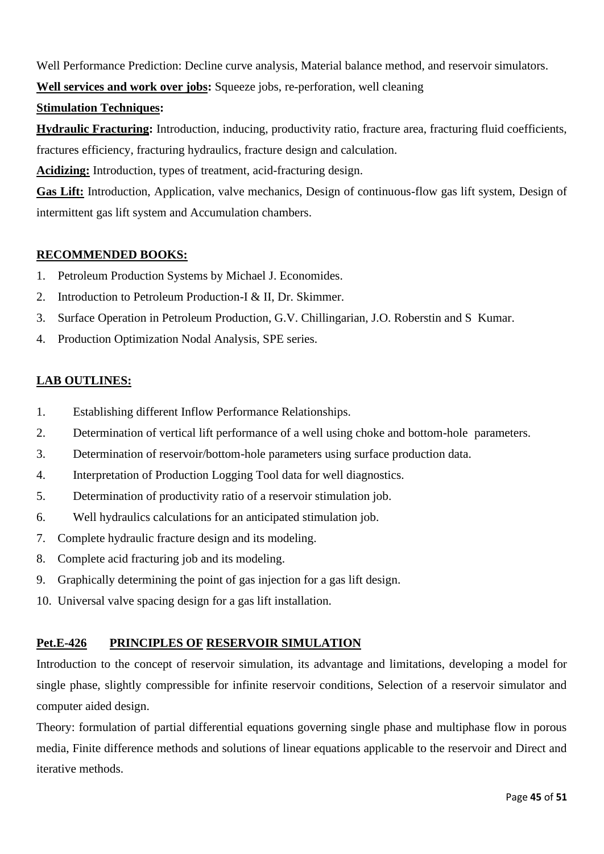Well Performance Prediction: Decline curve analysis, Material balance method, and reservoir simulators.

**Well services and work over jobs:** Squeeze jobs, re-perforation, well cleaning

# **Stimulation Techniques:**

**Hydraulic Fracturing:** Introduction, inducing, productivity ratio, fracture area, fracturing fluid coefficients, fractures efficiency, fracturing hydraulics, fracture design and calculation.

**Acidizing:** Introduction, types of treatment, acid-fracturing design.

**Gas Lift:** Introduction, Application, valve mechanics, Design of continuous-flow gas lift system, Design of intermittent gas lift system and Accumulation chambers.

# **RECOMMENDED BOOKS:**

- 1. Petroleum Production Systems by Michael J. Economides.
- 2. Introduction to Petroleum Production-I & II, Dr. Skimmer.
- 3. Surface Operation in Petroleum Production, G.V. Chillingarian, J.O. Roberstin and S Kumar.
- 4. Production Optimization Nodal Analysis, SPE series.

# **LAB OUTLINES:**

- 1. Establishing different Inflow Performance Relationships.
- 2. Determination of vertical lift performance of a well using choke and bottom-hole parameters.
- 3. Determination of reservoir/bottom-hole parameters using surface production data.
- 4. Interpretation of Production Logging Tool data for well diagnostics.
- 5. Determination of productivity ratio of a reservoir stimulation job.
- 6. Well hydraulics calculations for an anticipated stimulation job.
- 7. Complete hydraulic fracture design and its modeling.
- 8. Complete acid fracturing job and its modeling.
- 9. Graphically determining the point of gas injection for a gas lift design.
- 10. Universal valve spacing design for a gas lift installation.

# **Pet.E-426 PRINCIPLES OF RESERVOIR SIMULATION**

Introduction to the concept of reservoir simulation, its advantage and limitations, developing a model for single phase, slightly compressible for infinite reservoir conditions, Selection of a reservoir simulator and computer aided design.

Theory: formulation of partial differential equations governing single phase and multiphase flow in porous media, Finite difference methods and solutions of linear equations applicable to the reservoir and Direct and iterative methods.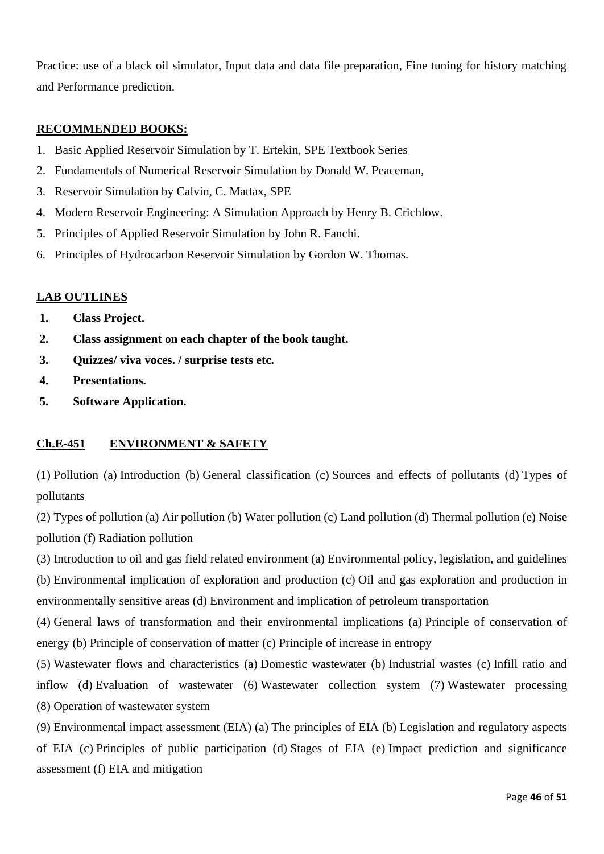Practice: use of a black oil simulator, Input data and data file preparation, Fine tuning for history matching and Performance prediction.

## **RECOMMENDED BOOKS:**

- 1. Basic Applied Reservoir Simulation by T. Ertekin, SPE Textbook Series
- 2. Fundamentals of Numerical Reservoir Simulation by Donald W. Peaceman,
- 3. Reservoir Simulation by Calvin, C. Mattax, SPE
- 4. Modern Reservoir Engineering: A Simulation Approach by Henry B. Crichlow.
- 5. Principles of Applied Reservoir Simulation by John R. Fanchi.
- 6. Principles of Hydrocarbon Reservoir Simulation by Gordon W. Thomas.

### **LAB OUTLINES**

- **1. Class Project.**
- **2. Class assignment on each chapter of the book taught.**
- **3. Quizzes/ viva voces. / surprise tests etc.**
- **4. Presentations.**
- **5. Software Application.**

# **Ch.E-451 ENVIRONMENT & SAFETY**

(1) Pollution (a) Introduction (b) General classification (c) Sources and effects of pollutants (d) Types of pollutants

(2) Types of pollution (a) Air pollution (b) Water pollution (c) Land pollution (d) Thermal pollution (e) Noise pollution (f) Radiation pollution

(3) Introduction to oil and gas field related environment (a) Environmental policy, legislation, and guidelines (b) Environmental implication of exploration and production (c) Oil and gas exploration and production in environmentally sensitive areas (d) Environment and implication of petroleum transportation

(4) General laws of transformation and their environmental implications (a) Principle of conservation of energy (b) Principle of conservation of matter (c) Principle of increase in entropy

(5) Wastewater flows and characteristics (a) Domestic wastewater (b) Industrial wastes (c) Infill ratio and inflow (d) Evaluation of wastewater (6) Wastewater collection system (7) Wastewater processing (8) Operation of wastewater system

(9) Environmental impact assessment (EIA) (a) The principles of EIA (b) Legislation and regulatory aspects of EIA (c) Principles of public participation (d) Stages of EIA (e) Impact prediction and significance assessment (f) EIA and mitigation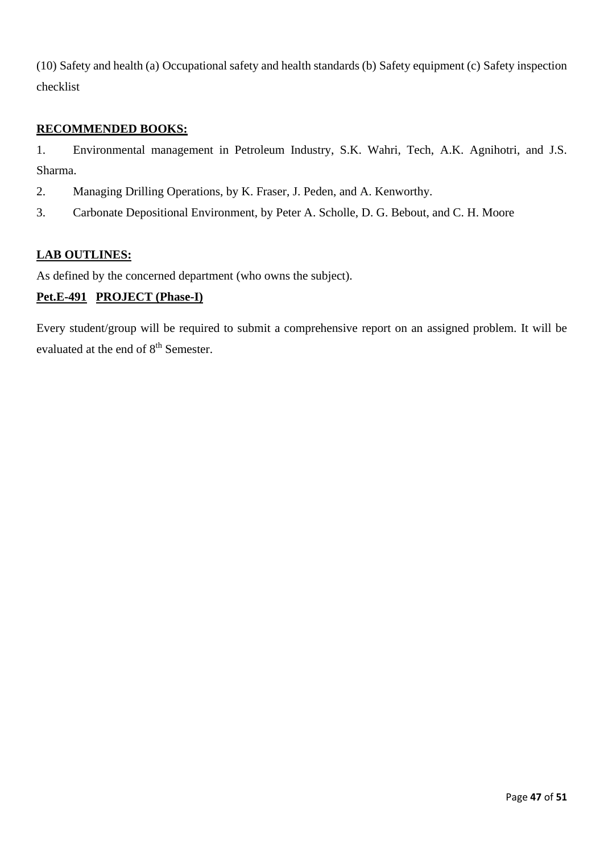(10) Safety and health (a) Occupational safety and health standards (b) Safety equipment (c) Safety inspection checklist

# **RECOMMENDED BOOKS:**

1. Environmental management in Petroleum Industry, S.K. Wahri, Tech, A.K. Agnihotri, and J.S. Sharma.

- 2. Managing Drilling Operations, by K. Fraser, J. Peden, and A. Kenworthy.
- 3. Carbonate Depositional Environment, by Peter A. Scholle, D. G. Bebout, and C. H. Moore

### **LAB OUTLINES:**

As defined by the concerned department (who owns the subject).

# **Pet.E-491 PROJECT (Phase-I)**

Every student/group will be required to submit a comprehensive report on an assigned problem. It will be evaluated at the end of 8<sup>th</sup> Semester.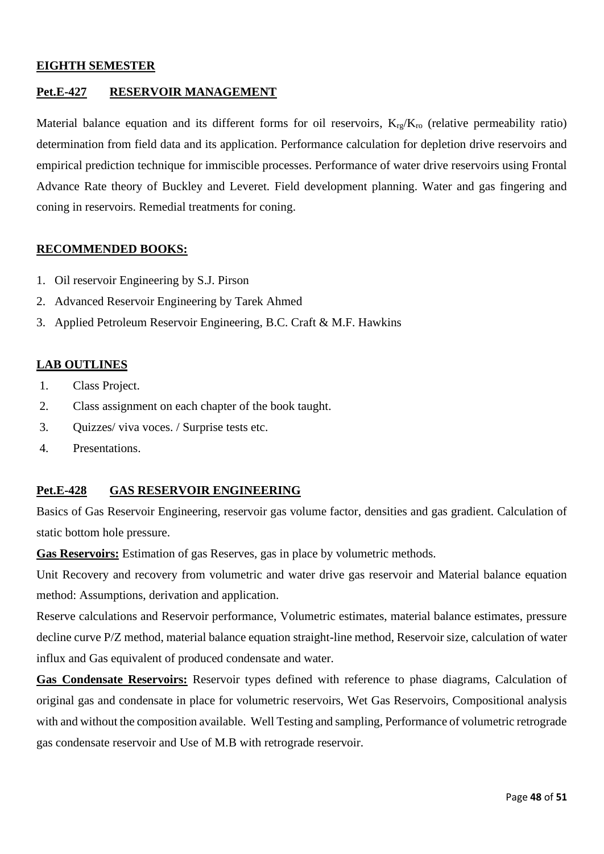### **EIGHTH SEMESTER**

### **Pet.E-427 RESERVOIR MANAGEMENT**

Material balance equation and its different forms for oil reservoirs,  $K_{\text{re}}/K_{\text{ro}}$  (relative permeability ratio) determination from field data and its application. Performance calculation for depletion drive reservoirs and empirical prediction technique for immiscible processes. Performance of water drive reservoirs using Frontal Advance Rate theory of Buckley and Leveret. Field development planning. Water and gas fingering and coning in reservoirs. Remedial treatments for coning.

#### **RECOMMENDED BOOKS:**

- 1. Oil reservoir Engineering by S.J. Pirson
- 2. Advanced Reservoir Engineering by Tarek Ahmed
- 3. Applied Petroleum Reservoir Engineering, B.C. Craft & M.F. Hawkins

#### **LAB OUTLINES**

- 1. Class Project.
- 2. Class assignment on each chapter of the book taught.
- 3. Quizzes/ viva voces. / Surprise tests etc.
- 4. Presentations.

#### **Pet.E-428 GAS RESERVOIR ENGINEERING**

Basics of Gas Reservoir Engineering, reservoir gas volume factor, densities and gas gradient. Calculation of static bottom hole pressure.

**Gas Reservoirs:** Estimation of gas Reserves, gas in place by volumetric methods.

Unit Recovery and recovery from volumetric and water drive gas reservoir and Material balance equation method: Assumptions, derivation and application.

Reserve calculations and Reservoir performance, Volumetric estimates, material balance estimates, pressure decline curve P/Z method, material balance equation straight-line method, Reservoir size, calculation of water influx and Gas equivalent of produced condensate and water.

**Gas Condensate Reservoirs:** Reservoir types defined with reference to phase diagrams, Calculation of original gas and condensate in place for volumetric reservoirs, Wet Gas Reservoirs, Compositional analysis with and without the composition available. Well Testing and sampling, Performance of volumetric retrograde gas condensate reservoir and Use of M.B with retrograde reservoir.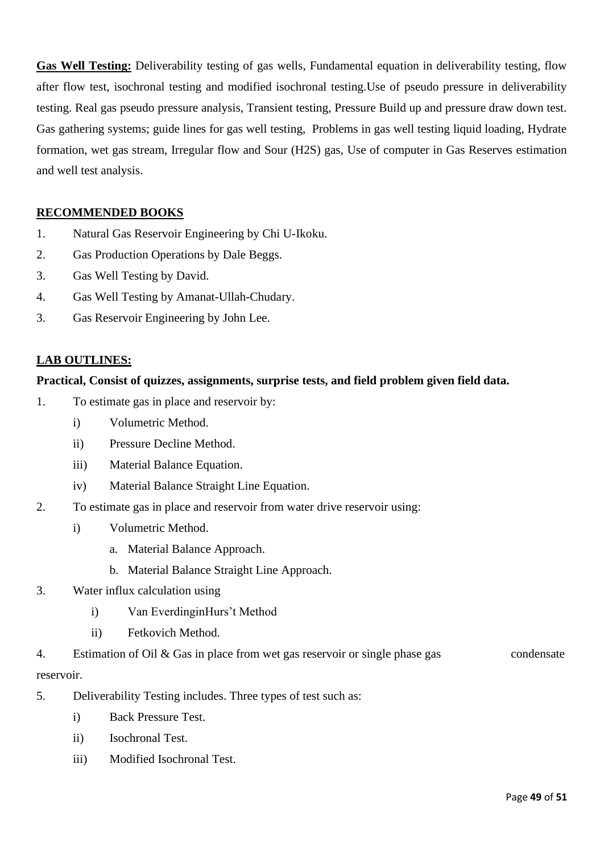**Gas Well Testing:** Deliverability testing of gas wells, Fundamental equation in deliverability testing, flow after flow test, isochronal testing and modified isochronal testing.Use of pseudo pressure in deliverability testing. Real gas pseudo pressure analysis, Transient testing, Pressure Build up and pressure draw down test. Gas gathering systems; guide lines for gas well testing, Problems in gas well testing liquid loading, Hydrate formation, wet gas stream, Irregular flow and Sour (H2S) gas, Use of computer in Gas Reserves estimation and well test analysis.

# **RECOMMENDED BOOKS**

- 1. Natural Gas Reservoir Engineering by Chi U-Ikoku.
- 2. Gas Production Operations by Dale Beggs.
- 3. Gas Well Testing by David.
- 4. Gas Well Testing by Amanat-Ullah-Chudary.
- 3. Gas Reservoir Engineering by John Lee.

### **LAB OUTLINES:**

#### **Practical, Consist of quizzes, assignments, surprise tests, and field problem given field data.**

- 1. To estimate gas in place and reservoir by:
	- i) Volumetric Method.
	- ii) Pressure Decline Method.
	- iii) Material Balance Equation.
	- iv) Material Balance Straight Line Equation.
- 2. To estimate gas in place and reservoir from water drive reservoir using:
	- i) Volumetric Method.
		- a. Material Balance Approach.
		- b. Material Balance Straight Line Approach.
- 3. Water influx calculation using
	- i) Van EverdinginHurs't Method
	- ii) Fetkovich Method.
- 4. Estimation of Oil & Gas in place from wet gas reservoir or single phase gas condensate reservoir.
- 5. Deliverability Testing includes. Three types of test such as:
	- i) Back Pressure Test.
	- ii) Isochronal Test.
	- iii) Modified Isochronal Test.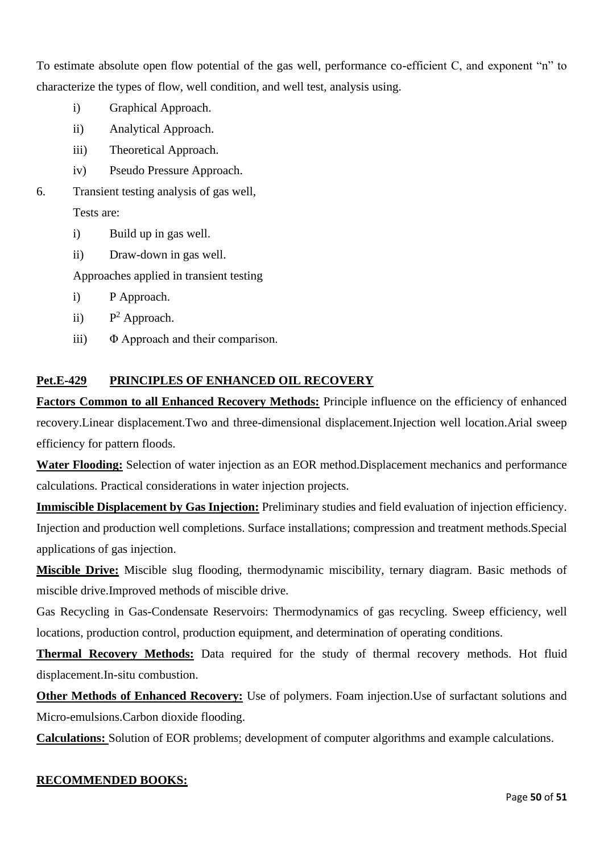To estimate absolute open flow potential of the gas well, performance co-efficient C, and exponent "n" to characterize the types of flow, well condition, and well test, analysis using.

- i) Graphical Approach.
- ii) Analytical Approach.
- iii) Theoretical Approach.
- iv) Pseudo Pressure Approach.
- 6. Transient testing analysis of gas well,

Tests are:

- i) Build up in gas well.
- ii) Draw-down in gas well.

Approaches applied in transient testing

- i) P Approach.
- $\mathbf{ii}$  $P<sup>2</sup>$  Approach.
- iii) Φ Approach and their comparison.

# **Pet.E-429 PRINCIPLES OF ENHANCED OIL RECOVERY**

**Factors Common to all Enhanced Recovery Methods:** Principle influence on the efficiency of enhanced recovery.Linear displacement.Two and three-dimensional displacement.Injection well location.Arial sweep efficiency for pattern floods.

**Water Flooding:** Selection of water injection as an EOR method.Displacement mechanics and performance calculations. Practical considerations in water injection projects.

**Immiscible Displacement by Gas Injection:** Preliminary studies and field evaluation of injection efficiency. Injection and production well completions. Surface installations; compression and treatment methods.Special applications of gas injection.

**Miscible Drive:** Miscible slug flooding, thermodynamic miscibility, ternary diagram. Basic methods of miscible drive.Improved methods of miscible drive.

Gas Recycling in Gas-Condensate Reservoirs: Thermodynamics of gas recycling. Sweep efficiency, well locations, production control, production equipment, and determination of operating conditions.

**Thermal Recovery Methods:** Data required for the study of thermal recovery methods. Hot fluid displacement.In-situ combustion.

**Other Methods of Enhanced Recovery:** Use of polymers. Foam injection.Use of surfactant solutions and Micro-emulsions.Carbon dioxide flooding.

**Calculations:** Solution of EOR problems; development of computer algorithms and example calculations.

# **RECOMMENDED BOOKS:**